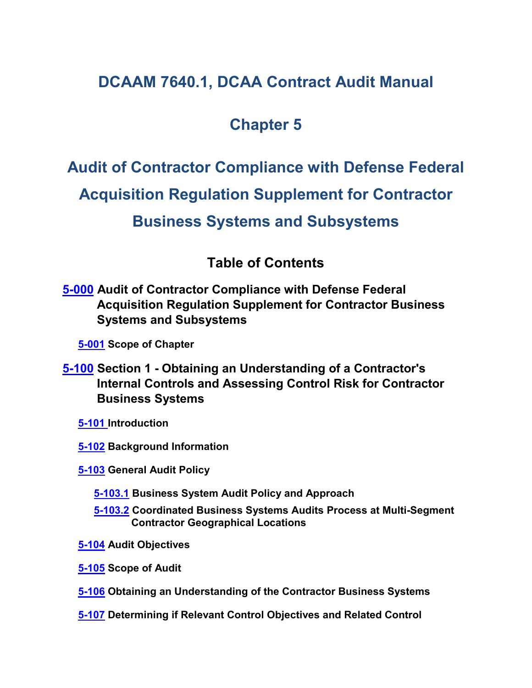# **DCAAM 7640.1, DCAA Contract Audit Manual**

# **Chapter 5**

# **Audit of Contractor Compliance with Defense Federal**

**Acquisition Regulation Supplement for Contractor** 

# **Business Systems and Subsystems**

# <span id="page-0-10"></span><span id="page-0-7"></span><span id="page-0-6"></span><span id="page-0-0"></span>**Table of Contents**

**[5-000](#page-3-0) Audit of Contractor Compliance with Defense Federal Acquisition Regulation Supplement for Contractor Business Systems and Subsystems**

<span id="page-0-4"></span><span id="page-0-2"></span><span id="page-0-1"></span>**[5-001](#page-4-0) Scope of Chapter**

- <span id="page-0-9"></span><span id="page-0-8"></span><span id="page-0-5"></span><span id="page-0-3"></span>**[5-100](#page-4-1) Section 1 - Obtaining an Understanding of a Contractor's Internal Controls and Assessing Control Risk for Contractor Business Systems**
	- **[5-101](#page-4-2) Introduction**
	- **[5-102](#page-5-0) Background Information**
	- **[5-103](#page-6-0) General Audit Policy**
		- **[5-103.1](#page-6-1) Business System Audit Policy and Approach**
		- **[5-103.2](#page-7-0) Coordinated Business Systems Audits Process at Multi-Segment Contractor Geographical Locations**
	- **[5-104](#page-7-1) Audit Objectives**
	- **[5-105](#page-8-0) Scope of Audit**
	- **[5-106](#page-9-0) Obtaining an Understanding of the Contractor Business Systems**
	- **[5-107](#page-10-0) Determining if Relevant Control Objectives and Related Control**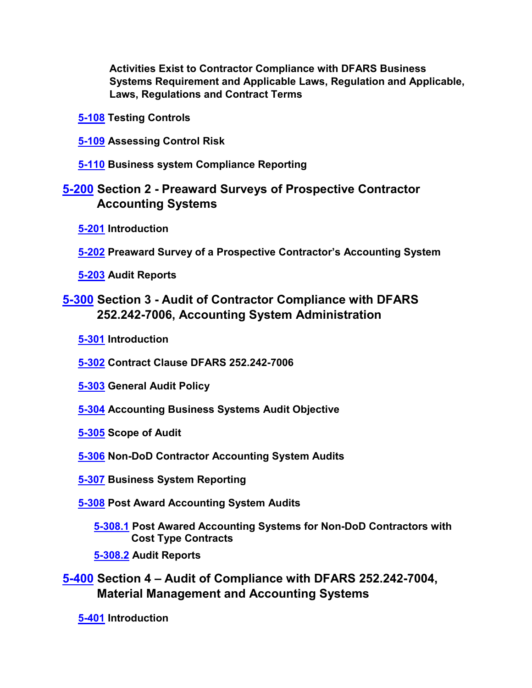<span id="page-1-3"></span><span id="page-1-2"></span><span id="page-1-1"></span><span id="page-1-0"></span>**Activities Exist to Contractor Compliance with DFARS Business Systems Requirement and Applicable Laws, Regulation and Applicable, Laws, Regulations and Contract Terms**

- **[5-108](#page-12-0) Testing Controls**
- **[5-109](#page-14-0) Assessing Control Risk**
- **[5-110](#page-14-1) Business system Compliance Reporting**

# **[5-200](#page-18-0) Section 2 - Preaward Surveys of Prospective Contractor Accounting Systems**

<span id="page-1-5"></span><span id="page-1-4"></span>**[5-201](#page-18-1) Introduction**

<span id="page-1-6"></span>**[5-202](#page-18-2) Preaward Survey of a Prospective Contractor's Accounting System**

<span id="page-1-7"></span>**[5-203](#page-20-0) Audit Reports**

# **[5-300](#page-21-0) Section 3 - Audit of Contractor Compliance with DFARS 252.242-7006, Accounting System Administration**

- <span id="page-1-8"></span>**[5-301](#page-21-1) Introduction**
- <span id="page-1-9"></span>**[5-302](#page-21-2) Contract Clause DFARS 252.242-7006**
- <span id="page-1-10"></span>**[5-303](#page-22-0) General Audit Policy**
- <span id="page-1-11"></span>**[5-304](#page-22-1) Accounting Business Systems Audit Objective**
- <span id="page-1-12"></span>**[5-305](#page-22-2) Scope of Audit**
- <span id="page-1-13"></span>**[5-306](#page-30-0) Non-DoD Contractor Accounting System Audits**
- <span id="page-1-14"></span>**[5-307](#page-30-1) Business System Reporting**
- <span id="page-1-16"></span><span id="page-1-15"></span>**[5-308](#page-30-2) Post Award Accounting System Audits**
	- **[5-308.1](#page-31-0) Post Awared Accounting Systems for Non-DoD Contractors with Cost Type Contracts**
	- **[5-308.2](#page-32-0) Audit Reports**
- **[5-400](#page-32-1) Section 4 – Audit of Compliance with DFARS 252.242-7004, Material Management and Accounting Systems**

<span id="page-1-18"></span><span id="page-1-17"></span>**[5-401](#page-32-2) Introduction**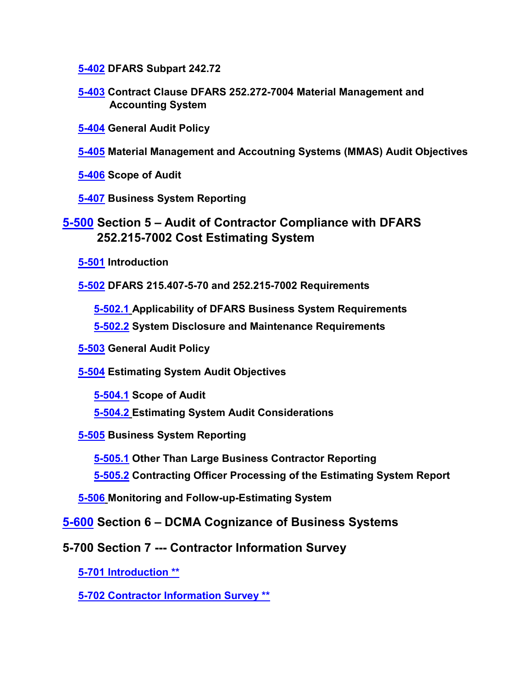<span id="page-2-0"></span>**[5-402](#page-33-0) DFARS Subpart 242.72**

- <span id="page-2-1"></span>**[5-403](#page-33-1) Contract Clause DFARS 252.272-7004 Material Management and Accounting System**
- <span id="page-2-2"></span>**[5-404](#page-33-2) General Audit Policy**
- <span id="page-2-3"></span>**[5-405](#page-34-0) Material Management and Accoutning Systems (MMAS) Audit Objectives**
- <span id="page-2-4"></span>**[5-406](#page-35-0) Scope of Audit**
- <span id="page-2-5"></span>**[5-407](#page-41-0) Business System Reporting**

# **[5-500](#page-42-0) Section 5 – Audit of Contractor Compliance with DFARS 252.215-7002 Cost Estimating System**

**5-501 Introduction**

**5-502 DFARS 215.407-5-70 and 252.215-7002 Requirements**

- <span id="page-2-12"></span><span id="page-2-11"></span><span id="page-2-10"></span><span id="page-2-9"></span><span id="page-2-8"></span><span id="page-2-7"></span><span id="page-2-6"></span>**5-502.1 Applicability of DFARS Business System Requirements 5-502.2 System Disclosure and Maintenance Requirements**
- **5-503 General Audit Policy**
- <span id="page-2-13"></span>**5-504 Estimating System Audit Objectives**
	- **5-504.1 Scope of Audit**
	- **5-504.2 Estimating System Audit Considerations**
- <span id="page-2-16"></span><span id="page-2-15"></span><span id="page-2-14"></span>**5-505 Business System Reporting**
	- **5-505.1 Other Than Large Business Contractor Reporting**
	- **[5-505.2](#page-52-0) Contracting Officer Processing of the Estimating System Report**
- <span id="page-2-19"></span><span id="page-2-18"></span><span id="page-2-17"></span>**5-506 Monitoring and Follow-up-Estimating System**
- **[5-600](#page-42-1) Section 6 – DCMA Cognizance of Business Systems**

# **5-700 Section 7 --- Contractor Information Survey**

- **5-701 Introduction \*\***
- **5-702 Contractor Information Survey \*\***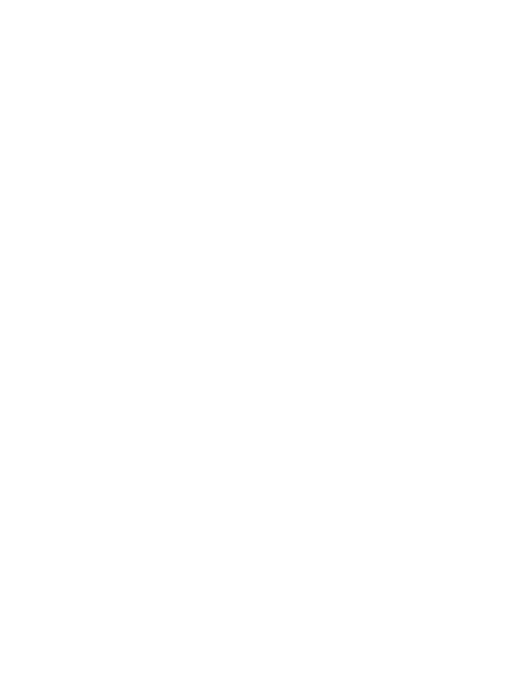<span id="page-3-0"></span>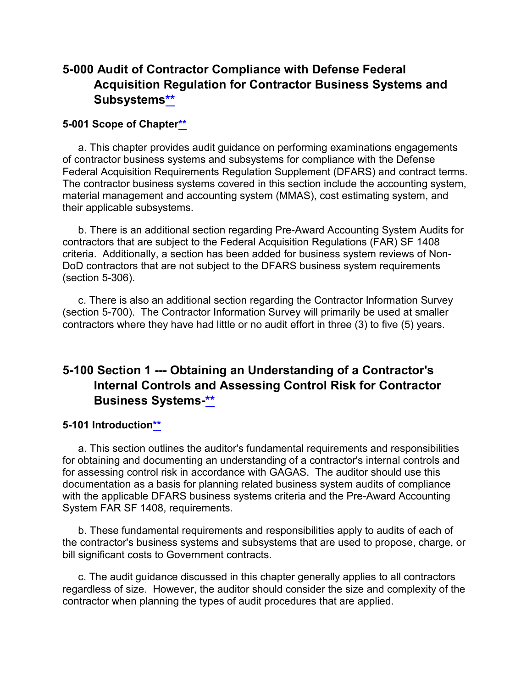# **5-000 Audit of Contractor Compliance with Defense Federal Acquisition Regulation for Contractor Business Systems and Subsystem[s\\*\\*](#page-0-0)**

### <span id="page-4-0"></span>**5-001 Scope of Chapte[r\\*\\*](#page-0-1)**

a. This chapter provides audit guidance on performing examinations engagements of contractor business systems and subsystems for compliance with the Defense Federal Acquisition Requirements Regulation Supplement (DFARS) and contract terms. The contractor business systems covered in this section include the accounting system, material management and accounting system (MMAS), cost estimating system, and their applicable subsystems.

b. There is an additional section regarding Pre-Award Accounting System Audits for contractors that are subject to the Federal Acquisition Regulations (FAR) SF 1408 criteria. Additionally, a section has been added for business system reviews of Non-DoD contractors that are not subject to the DFARS business system requirements (section 5-306).

c. There is also an additional section regarding the Contractor Information Survey (section 5-700). The Contractor Information Survey will primarily be used at smaller contractors where they have had little or no audit effort in three (3) to five (5) years.

# <span id="page-4-1"></span>**5-100 Section 1 --- Obtaining an Understanding of a Contractor's Internal Controls and Assessing Control Risk for Contractor Business Systems[-\\*\\*](#page-0-2)**

#### <span id="page-4-2"></span>**5-101 Introductio[n\\*\\*](#page-0-3)**

a. This section outlines the auditor's fundamental requirements and responsibilities for obtaining and documenting an understanding of a contractor's internal controls and for assessing control risk in accordance with GAGAS. The auditor should use this documentation as a basis for planning related business system audits of compliance with the applicable DFARS business systems criteria and the Pre-Award Accounting System FAR SF 1408, requirements.

b. These fundamental requirements and responsibilities apply to audits of each of the contractor's business systems and subsystems that are used to propose, charge, or bill significant costs to Government contracts.

c. The audit guidance discussed in this chapter generally applies to all contractors regardless of size. However, the auditor should consider the size and complexity of the contractor when planning the types of audit procedures that are applied.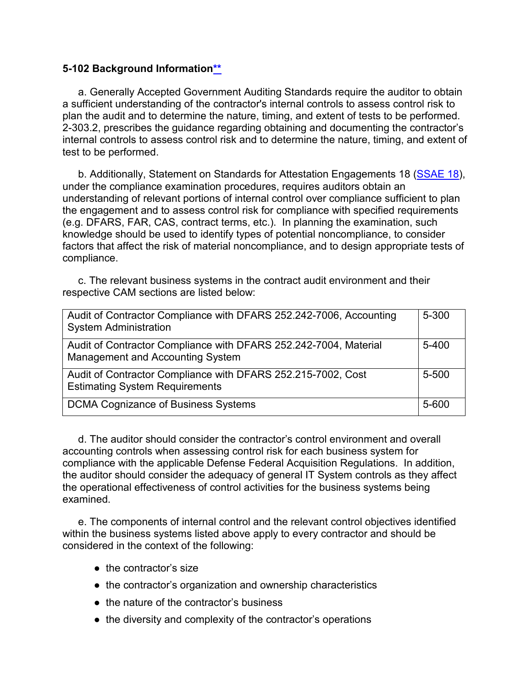#### <span id="page-5-0"></span>**5-102 Background Informatio[n\\*\\*](#page-0-4)**

a. Generally Accepted Government Auditing Standards require the auditor to obtain a sufficient understanding of the contractor's internal controls to assess control risk to plan the audit and to determine the nature, timing, and extent of tests to be performed. 2-303.2, prescribes the guidance regarding obtaining and documenting the contractor's internal controls to assess control risk and to determine the nature, timing, and extent of test to be performed.

b. Additionally, Statement on Standards for Attestation Engagements 18 [\(SSAE 18\)](https://www.aicpa.org/research/standards/auditattest/ssae.html), under the compliance examination procedures, requires auditors obtain an understanding of relevant portions of internal control over compliance sufficient to plan the engagement and to assess control risk for compliance with specified requirements (e.g. DFARS, FAR, CAS, contract terms, etc.). In planning the examination, such knowledge should be used to identify types of potential noncompliance, to consider factors that affect the risk of material noncompliance, and to design appropriate tests of compliance.

c. The relevant business systems in the contract audit environment and their respective CAM sections are listed below:

| Audit of Contractor Compliance with DFARS 252.242-7006, Accounting<br><b>System Administration</b>          | 5-300 |
|-------------------------------------------------------------------------------------------------------------|-------|
| Audit of Contractor Compliance with DFARS 252.242-7004, Material<br><b>Management and Accounting System</b> | 5-400 |
| Audit of Contractor Compliance with DFARS 252.215-7002, Cost<br><b>Estimating System Requirements</b>       | 5-500 |
| <b>DCMA Cognizance of Business Systems</b>                                                                  | 5-600 |

d. The auditor should consider the contractor's control environment and overall accounting controls when assessing control risk for each business system for compliance with the applicable Defense Federal Acquisition Regulations. In addition, the auditor should consider the adequacy of general IT System controls as they affect the operational effectiveness of control activities for the business systems being examined.

e. The components of internal control and the relevant control objectives identified within the business systems listed above apply to every contractor and should be considered in the context of the following:

- the contractor's size
- the contractor's organization and ownership characteristics
- the nature of the contractor's business
- the diversity and complexity of the contractor's operations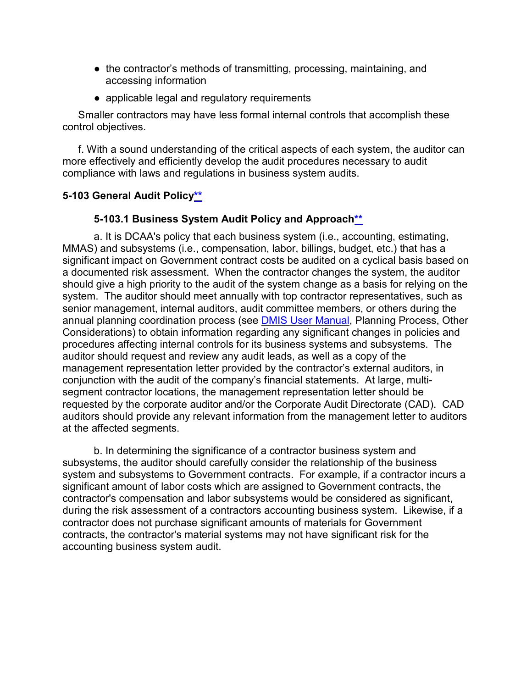- the contractor's methods of transmitting, processing, maintaining, and accessing information
- applicable legal and regulatory requirements

Smaller contractors may have less formal internal controls that accomplish these control objectives.

f. With a sound understanding of the critical aspects of each system, the auditor can more effectively and efficiently develop the audit procedures necessary to audit compliance with laws and regulations in business system audits.

### <span id="page-6-0"></span>**5-103 General Audit Polic[y\\*\\*](#page-0-5)**

### **5-103.1 Business System Audit Policy and Approac[h\\*\\*](#page-0-6)**

<span id="page-6-1"></span>a. It is DCAA's policy that each business system (i.e., accounting, estimating, MMAS) and subsystems (i.e., compensation, labor, billings, budget, etc.) that has a significant impact on Government contract costs be audited on a cyclical basis based on a documented risk assessment. When the contractor changes the system, the auditor should give a high priority to the audit of the system change as a basis for relying on the system. The auditor should meet annually with top contractor representatives, such as senior management, internal auditors, audit committee members, or others during the annual planning coordination process (see DMIS [User Manual,](https://intranet.dcaa.mil/dmisug/SitePages/Planning_Overview.aspx) Planning Process, Other Considerations) to obtain information regarding any significant changes in policies and procedures affecting internal controls for its business systems and subsystems. The auditor should request and review any audit leads, as well as a copy of the management representation letter provided by the contractor's external auditors, in conjunction with the audit of the company's financial statements. At large, multisegment contractor locations, the management representation letter should be requested by the corporate auditor and/or the Corporate Audit Directorate (CAD). CAD auditors should provide any relevant information from the management letter to auditors at the affected segments.

b. In determining the significance of a contractor business system and subsystems, the auditor should carefully consider the relationship of the business system and subsystems to Government contracts. For example, if a contractor incurs a significant amount of labor costs which are assigned to Government contracts, the contractor's compensation and labor subsystems would be considered as significant, during the risk assessment of a contractors accounting business system. Likewise, if a contractor does not purchase significant amounts of materials for Government contracts, the contractor's material systems may not have significant risk for the accounting business system audit.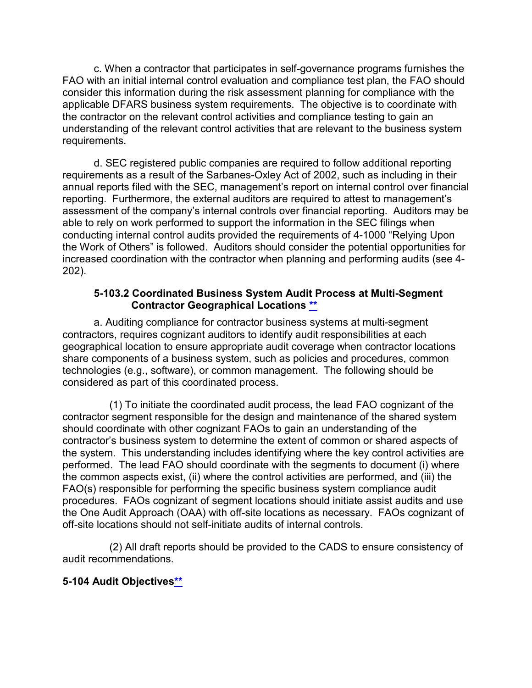c. When a contractor that participates in self-governance programs furnishes the FAO with an initial internal control evaluation and compliance test plan, the FAO should consider this information during the risk assessment planning for compliance with the applicable DFARS business system requirements. The objective is to coordinate with the contractor on the relevant control activities and compliance testing to gain an understanding of the relevant control activities that are relevant to the business system requirements.

d. SEC registered public companies are required to follow additional reporting requirements as a result of the Sarbanes-Oxley Act of 2002, such as including in their annual reports filed with the SEC, management's report on internal control over financial reporting. Furthermore, the external auditors are required to attest to management's assessment of the company's internal controls over financial reporting. Auditors may be able to rely on work performed to support the information in the SEC filings when conducting internal control audits provided the requirements of 4-1000 "Relying Upon the Work of Others" is followed. Auditors should consider the potential opportunities for increased coordination with the contractor when planning and performing audits (see 4- 202).

#### **5-103.2 Coordinated Business System Audit Process at Multi-Segment Contractor Geographical Locations [\\*\\*](#page-0-7)**

<span id="page-7-0"></span>a. Auditing compliance for contractor business systems at multi-segment contractors, requires cognizant auditors to identify audit responsibilities at each geographical location to ensure appropriate audit coverage when contractor locations share components of a business system, such as policies and procedures, common technologies (e.g., software), or common management. The following should be considered as part of this coordinated process.

(1) To initiate the coordinated audit process, the lead FAO cognizant of the contractor segment responsible for the design and maintenance of the shared system should coordinate with other cognizant FAOs to gain an understanding of the contractor's business system to determine the extent of common or shared aspects of the system. This understanding includes identifying where the key control activities are performed. The lead FAO should coordinate with the segments to document (i) where the common aspects exist, (ii) where the control activities are performed, and (iii) the FAO(s) responsible for performing the specific business system compliance audit procedures. FAOs cognizant of segment locations should initiate assist audits and use the One Audit Approach (OAA) with off-site locations as necessary. FAOs cognizant of off-site locations should not self-initiate audits of internal controls.

(2) All draft reports should be provided to the CADS to ensure consistency of audit recommendations.

# <span id="page-7-1"></span>**5-104 Audit Objective[s\\*\\*](#page-0-8)**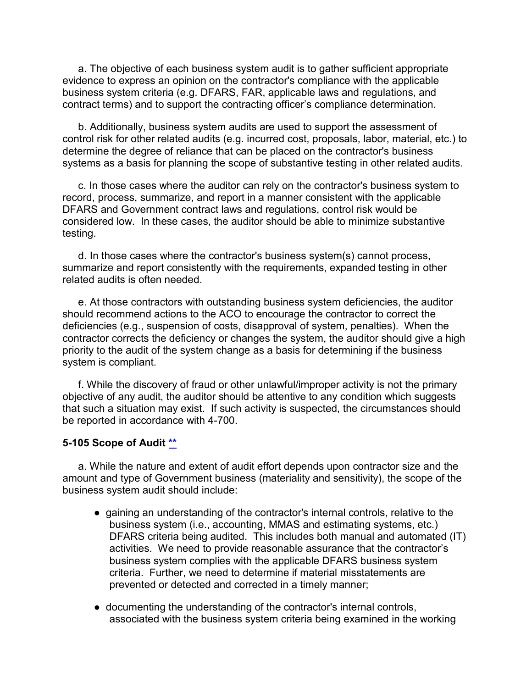a. The objective of each business system audit is to gather sufficient appropriate evidence to express an opinion on the contractor's compliance with the applicable business system criteria (e.g. DFARS, FAR, applicable laws and regulations, and contract terms) and to support the contracting officer's compliance determination.

b. Additionally, business system audits are used to support the assessment of control risk for other related audits (e.g. incurred cost, proposals, labor, material, etc.) to determine the degree of reliance that can be placed on the contractor's business systems as a basis for planning the scope of substantive testing in other related audits.

c. In those cases where the auditor can rely on the contractor's business system to record, process, summarize, and report in a manner consistent with the applicable DFARS and Government contract laws and regulations, control risk would be considered low. In these cases, the auditor should be able to minimize substantive testing.

d. In those cases where the contractor's business system(s) cannot process, summarize and report consistently with the requirements, expanded testing in other related audits is often needed.

e. At those contractors with outstanding business system deficiencies, the auditor should recommend actions to the ACO to encourage the contractor to correct the deficiencies (e.g., suspension of costs, disapproval of system, penalties). When the contractor corrects the deficiency or changes the system, the auditor should give a high priority to the audit of the system change as a basis for determining if the business system is compliant.

f. While the discovery of fraud or other unlawful/improper activity is not the primary objective of any audit, the auditor should be attentive to any condition which suggests that such a situation may exist. If such activity is suspected, the circumstances should be reported in accordance with 4-700.

#### <span id="page-8-0"></span>**5-105 Scope of Audit [\\*\\*](#page-0-9)**

a. While the nature and extent of audit effort depends upon contractor size and the amount and type of Government business (materiality and sensitivity), the scope of the business system audit should include:

- gaining an understanding of the contractor's internal controls, relative to the business system (i.e., accounting, MMAS and estimating systems, etc.) DFARS criteria being audited. This includes both manual and automated (IT) activities. We need to provide reasonable assurance that the contractor's business system complies with the applicable DFARS business system criteria. Further, we need to determine if material misstatements are prevented or detected and corrected in a timely manner;
- documenting the understanding of the contractor's internal controls, associated with the business system criteria being examined in the working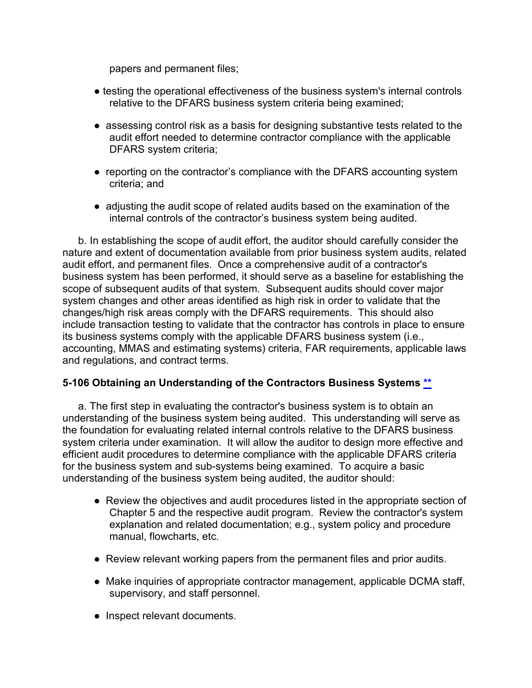papers and permanent files;

- testing the operational effectiveness of the business system's internal controls relative to the DFARS business system criteria being examined;
- assessing control risk as a basis for designing substantive tests related to the audit effort needed to determine contractor compliance with the applicable DFARS system criteria;
- reporting on the contractor's compliance with the DFARS accounting system criteria; and
- adjusting the audit scope of related audits based on the examination of the internal controls of the contractor's business system being audited.

b. In establishing the scope of audit effort, the auditor should carefully consider the nature and extent of documentation available from prior business system audits, related audit effort, and permanent files. Once a comprehensive audit of a contractor's business system has been performed, it should serve as a baseline for establishing the scope of subsequent audits of that system. Subsequent audits should cover major system changes and other areas identified as high risk in order to validate that the changes/high risk areas comply with the DFARS requirements. This should also include transaction testing to validate that the contractor has controls in place to ensure its business systems comply with the applicable DFARS business system (i.e., accounting, MMAS and estimating systems) criteria, FAR requirements, applicable laws and regulations, and contract terms.

# <span id="page-9-0"></span>**5-106 Obtaining an Understanding of the Contractors Business Systems [\\*\\*](#page-0-10)**

a. The first step in evaluating the contractor's business system is to obtain an understanding of the business system being audited. This understanding will serve as the foundation for evaluating related internal controls relative to the DFARS business system criteria under examination. It will allow the auditor to design more effective and efficient audit procedures to determine compliance with the applicable DFARS criteria for the business system and sub-systems being examined. To acquire a basic understanding of the business system being audited, the auditor should:

- Review the objectives and audit procedures listed in the appropriate section of Chapter 5 and the respective audit program. Review the contractor's system explanation and related documentation; e.g., system policy and procedure manual, flowcharts, etc.
- Review relevant working papers from the permanent files and prior audits.
- Make inquiries of appropriate contractor management, applicable DCMA staff, supervisory, and staff personnel.
- Inspect relevant documents.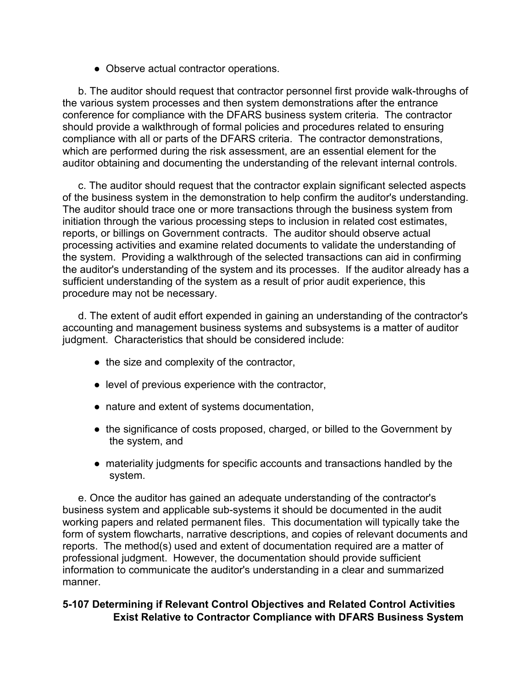● Observe actual contractor operations.

b. The auditor should request that contractor personnel first provide walk-throughs of the various system processes and then system demonstrations after the entrance conference for compliance with the DFARS business system criteria. The contractor should provide a walkthrough of formal policies and procedures related to ensuring compliance with all or parts of the DFARS criteria. The contractor demonstrations, which are performed during the risk assessment, are an essential element for the auditor obtaining and documenting the understanding of the relevant internal controls.

c. The auditor should request that the contractor explain significant selected aspects of the business system in the demonstration to help confirm the auditor's understanding. The auditor should trace one or more transactions through the business system from initiation through the various processing steps to inclusion in related cost estimates, reports, or billings on Government contracts. The auditor should observe actual processing activities and examine related documents to validate the understanding of the system. Providing a walkthrough of the selected transactions can aid in confirming the auditor's understanding of the system and its processes. If the auditor already has a sufficient understanding of the system as a result of prior audit experience, this procedure may not be necessary.

d. The extent of audit effort expended in gaining an understanding of the contractor's accounting and management business systems and subsystems is a matter of auditor judgment. Characteristics that should be considered include:

- the size and complexity of the contractor,
- level of previous experience with the contractor,
- nature and extent of systems documentation,
- the significance of costs proposed, charged, or billed to the Government by the system, and
- materiality judgments for specific accounts and transactions handled by the system.

e. Once the auditor has gained an adequate understanding of the contractor's business system and applicable sub-systems it should be documented in the audit working papers and related permanent files. This documentation will typically take the form of system flowcharts, narrative descriptions, and copies of relevant documents and reports. The method(s) used and extent of documentation required are a matter of professional judgment. However, the documentation should provide sufficient information to communicate the auditor's understanding in a clear and summarized manner.

# <span id="page-10-0"></span>**5-107 Determining if Relevant Control Objectives and Related Control Activities Exist Relative to Contractor Compliance with DFARS Business System**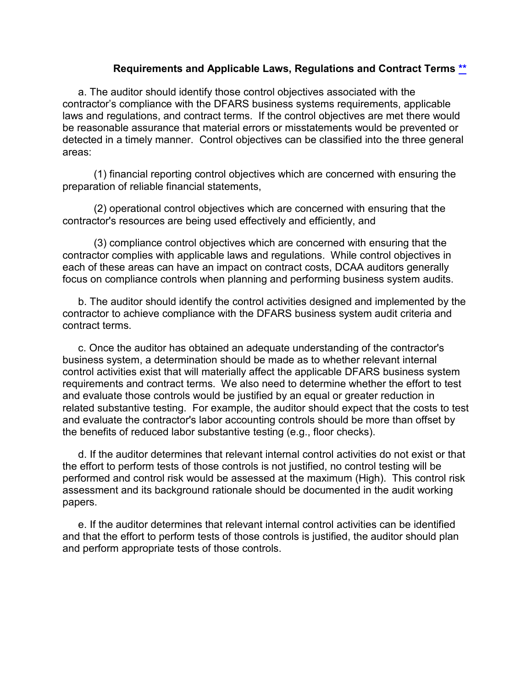#### **Requirements and Applicable Laws, Regulations and Contract Terms [\\*\\*](#page-1-0)**

a. The auditor should identify those control objectives associated with the contractor's compliance with the DFARS business systems requirements, applicable laws and regulations, and contract terms. If the control objectives are met there would be reasonable assurance that material errors or misstatements would be prevented or detected in a timely manner. Control objectives can be classified into the three general areas:

(1) financial reporting control objectives which are concerned with ensuring the preparation of reliable financial statements,

(2) operational control objectives which are concerned with ensuring that the contractor's resources are being used effectively and efficiently, and

(3) compliance control objectives which are concerned with ensuring that the contractor complies with applicable laws and regulations. While control objectives in each of these areas can have an impact on contract costs, DCAA auditors generally focus on compliance controls when planning and performing business system audits.

b. The auditor should identify the control activities designed and implemented by the contractor to achieve compliance with the DFARS business system audit criteria and contract terms.

c. Once the auditor has obtained an adequate understanding of the contractor's business system, a determination should be made as to whether relevant internal control activities exist that will materially affect the applicable DFARS business system requirements and contract terms. We also need to determine whether the effort to test and evaluate those controls would be justified by an equal or greater reduction in related substantive testing. For example, the auditor should expect that the costs to test and evaluate the contractor's labor accounting controls should be more than offset by the benefits of reduced labor substantive testing (e.g., floor checks).

d. If the auditor determines that relevant internal control activities do not exist or that the effort to perform tests of those controls is not justified, no control testing will be performed and control risk would be assessed at the maximum (High). This control risk assessment and its background rationale should be documented in the audit working papers.

e. If the auditor determines that relevant internal control activities can be identified and that the effort to perform tests of those controls is justified, the auditor should plan and perform appropriate tests of those controls.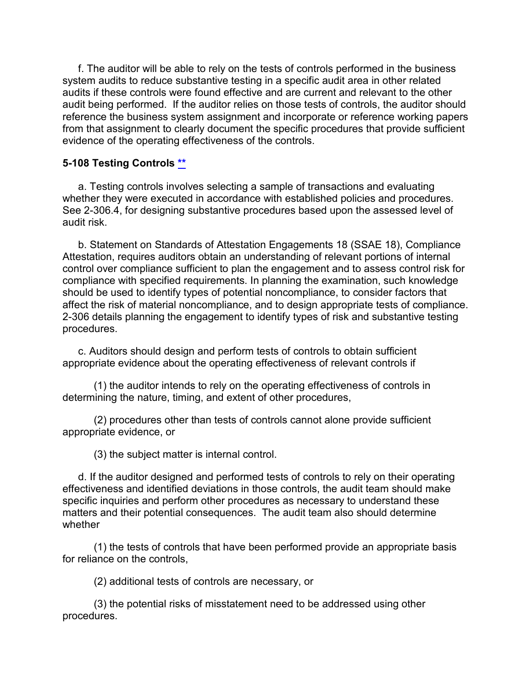f. The auditor will be able to rely on the tests of controls performed in the business system audits to reduce substantive testing in a specific audit area in other related audits if these controls were found effective and are current and relevant to the other audit being performed. If the auditor relies on those tests of controls, the auditor should reference the business system assignment and incorporate or reference working papers from that assignment to clearly document the specific procedures that provide sufficient evidence of the operating effectiveness of the controls.

### <span id="page-12-0"></span>**5-108 Testing Controls [\\*\\*](#page-1-1)**

a. Testing controls involves selecting a sample of transactions and evaluating whether they were executed in accordance with established policies and procedures. See 2-306.4, for designing substantive procedures based upon the assessed level of audit risk.

b. Statement on Standards of Attestation Engagements 18 (SSAE 18), Compliance Attestation, requires auditors obtain an understanding of relevant portions of internal control over compliance sufficient to plan the engagement and to assess control risk for compliance with specified requirements. In planning the examination, such knowledge should be used to identify types of potential noncompliance, to consider factors that affect the risk of material noncompliance, and to design appropriate tests of compliance. 2-306 details planning the engagement to identify types of risk and substantive testing procedures.

c. Auditors should design and perform tests of controls to obtain sufficient appropriate evidence about the operating effectiveness of relevant controls if

(1) the auditor intends to rely on the operating effectiveness of controls in determining the nature, timing, and extent of other procedures,

(2) procedures other than tests of controls cannot alone provide sufficient appropriate evidence, or

(3) the subject matter is internal control.

d. If the auditor designed and performed tests of controls to rely on their operating effectiveness and identified deviations in those controls, the audit team should make specific inquiries and perform other procedures as necessary to understand these matters and their potential consequences. The audit team also should determine whether

(1) the tests of controls that have been performed provide an appropriate basis for reliance on the controls,

(2) additional tests of controls are necessary, or

(3) the potential risks of misstatement need to be addressed using other procedures.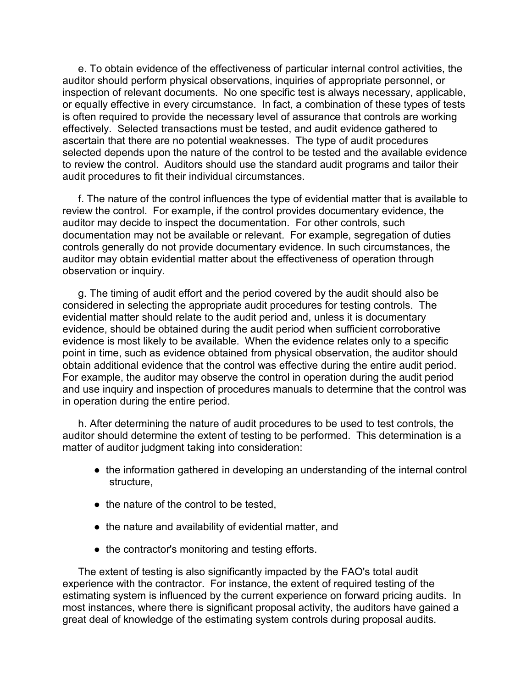e. To obtain evidence of the effectiveness of particular internal control activities, the auditor should perform physical observations, inquiries of appropriate personnel, or inspection of relevant documents. No one specific test is always necessary, applicable, or equally effective in every circumstance. In fact, a combination of these types of tests is often required to provide the necessary level of assurance that controls are working effectively. Selected transactions must be tested, and audit evidence gathered to ascertain that there are no potential weaknesses. The type of audit procedures selected depends upon the nature of the control to be tested and the available evidence to review the control. Auditors should use the standard audit programs and tailor their audit procedures to fit their individual circumstances.

f. The nature of the control influences the type of evidential matter that is available to review the control. For example, if the control provides documentary evidence, the auditor may decide to inspect the documentation. For other controls, such documentation may not be available or relevant. For example, segregation of duties controls generally do not provide documentary evidence. In such circumstances, the auditor may obtain evidential matter about the effectiveness of operation through observation or inquiry.

g. The timing of audit effort and the period covered by the audit should also be considered in selecting the appropriate audit procedures for testing controls. The evidential matter should relate to the audit period and, unless it is documentary evidence, should be obtained during the audit period when sufficient corroborative evidence is most likely to be available. When the evidence relates only to a specific point in time, such as evidence obtained from physical observation, the auditor should obtain additional evidence that the control was effective during the entire audit period. For example, the auditor may observe the control in operation during the audit period and use inquiry and inspection of procedures manuals to determine that the control was in operation during the entire period.

h. After determining the nature of audit procedures to be used to test controls, the auditor should determine the extent of testing to be performed. This determination is a matter of auditor judgment taking into consideration:

- the information gathered in developing an understanding of the internal control structure,
- the nature of the control to be tested,
- the nature and availability of evidential matter, and
- the contractor's monitoring and testing efforts.

The extent of testing is also significantly impacted by the FAO's total audit experience with the contractor. For instance, the extent of required testing of the estimating system is influenced by the current experience on forward pricing audits. In most instances, where there is significant proposal activity, the auditors have gained a great deal of knowledge of the estimating system controls during proposal audits.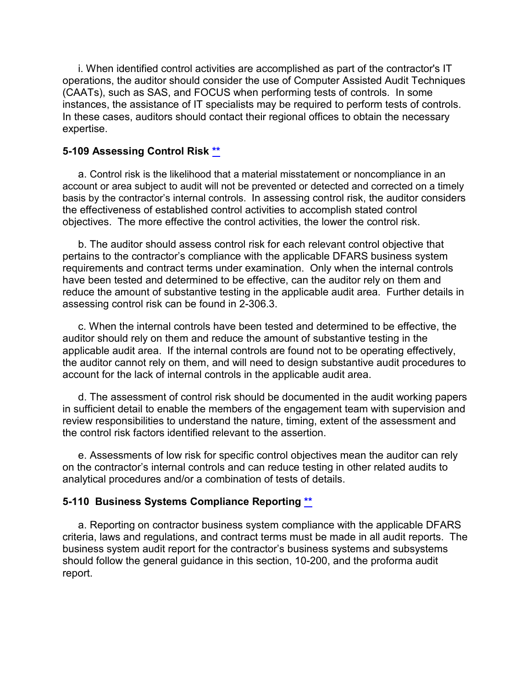i. When identified control activities are accomplished as part of the contractor's IT operations, the auditor should consider the use of Computer Assisted Audit Techniques (CAATs), such as SAS, and FOCUS when performing tests of controls. In some instances, the assistance of IT specialists may be required to perform tests of controls. In these cases, auditors should contact their regional offices to obtain the necessary expertise.

### <span id="page-14-0"></span>**5-109 Assessing Control Risk [\\*\\*](#page-1-2)**

a. Control risk is the likelihood that a material misstatement or noncompliance in an account or area subject to audit will not be prevented or detected and corrected on a timely basis by the contractor's internal controls. In assessing control risk, the auditor considers the effectiveness of established control activities to accomplish stated control objectives. The more effective the control activities, the lower the control risk.

b. The auditor should assess control risk for each relevant control objective that pertains to the contractor's compliance with the applicable DFARS business system requirements and contract terms under examination. Only when the internal controls have been tested and determined to be effective, can the auditor rely on them and reduce the amount of substantive testing in the applicable audit area. Further details in assessing control risk can be found in 2-306.3.

c. When the internal controls have been tested and determined to be effective, the auditor should rely on them and reduce the amount of substantive testing in the applicable audit area. If the internal controls are found not to be operating effectively, the auditor cannot rely on them, and will need to design substantive audit procedures to account for the lack of internal controls in the applicable audit area.

d. The assessment of control risk should be documented in the audit working papers in sufficient detail to enable the members of the engagement team with supervision and review responsibilities to understand the nature, timing, extent of the assessment and the control risk factors identified relevant to the assertion.

e. Assessments of low risk for specific control objectives mean the auditor can rely on the contractor's internal controls and can reduce testing in other related audits to analytical procedures and/or a combination of tests of details.

#### <span id="page-14-1"></span>**5-110 Business Systems Compliance Reporting [\\*\\*](#page-1-3)**

a. Reporting on contractor business system compliance with the applicable DFARS criteria, laws and regulations, and contract terms must be made in all audit reports. The business system audit report for the contractor's business systems and subsystems should follow the general guidance in this section, 10-200, and the proforma audit report.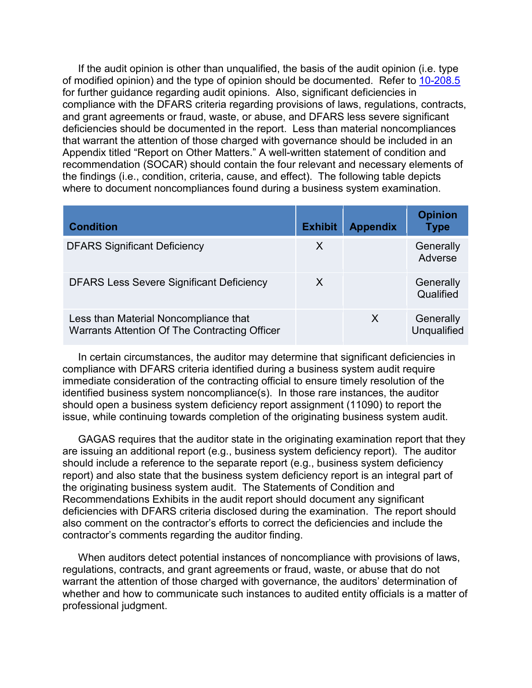If the audit opinion is other than unqualified, the basis of the audit opinion (i.e. type of modified opinion) and the type of opinion should be documented. Refer to [10-208.5](https://viper.dcaa.mil/guidance/cam/3147/preparation-and-distribution-of-audit-reports#Sec102085) for further guidance regarding audit opinions. Also, significant deficiencies in compliance with the DFARS criteria regarding provisions of laws, regulations, contracts, and grant agreements or fraud, waste, or abuse, and DFARS less severe significant deficiencies should be documented in the report. Less than material noncompliances that warrant the attention of those charged with governance should be included in an Appendix titled "Report on Other Matters." A well-written statement of condition and recommendation (SOCAR) should contain the four relevant and necessary elements of the findings (i.e., condition, criteria, cause, and effect). The following table depicts where to document noncompliances found during a business system examination.

| <b>Condition</b>                                                                       | <b>Exhibit</b> | <b>Appendix</b> | <b>Opinion</b><br>Type          |
|----------------------------------------------------------------------------------------|----------------|-----------------|---------------------------------|
| <b>DFARS Significant Deficiency</b>                                                    | X              |                 | Generally<br>Adverse            |
| <b>DFARS Less Severe Significant Deficiency</b>                                        | X              |                 | Generally<br>Qualified          |
| Less than Material Noncompliance that<br>Warrants Attention Of The Contracting Officer |                | X               | Generally<br><b>Unqualified</b> |

In certain circumstances, the auditor may determine that significant deficiencies in compliance with DFARS criteria identified during a business system audit require immediate consideration of the contracting official to ensure timely resolution of the identified business system noncompliance(s). In those rare instances, the auditor should open a business system deficiency report assignment (11090) to report the issue, while continuing towards completion of the originating business system audit.

GAGAS requires that the auditor state in the originating examination report that they are issuing an additional report (e.g., business system deficiency report). The auditor should include a reference to the separate report (e.g., business system deficiency report) and also state that the business system deficiency report is an integral part of the originating business system audit. The Statements of Condition and Recommendations Exhibits in the audit report should document any significant deficiencies with DFARS criteria disclosed during the examination. The report should also comment on the contractor's efforts to correct the deficiencies and include the contractor's comments regarding the auditor finding.

When auditors detect potential instances of noncompliance with provisions of laws, regulations, contracts, and grant agreements or fraud, waste, or abuse that do not warrant the attention of those charged with governance, the auditors' determination of whether and how to communicate such instances to audited entity officials is a matter of professional judgment.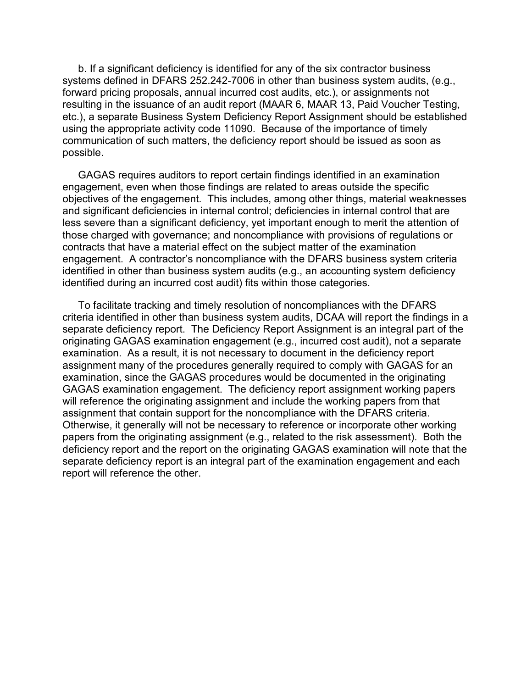b. If a significant deficiency is identified for any of the six contractor business systems defined in DFARS 252.242-7006 in other than business system audits, (e.g., forward pricing proposals, annual incurred cost audits, etc.), or assignments not resulting in the issuance of an audit report (MAAR 6, MAAR 13, Paid Voucher Testing, etc.), a separate Business System Deficiency Report Assignment should be established using the appropriate activity code 11090. Because of the importance of timely communication of such matters, the deficiency report should be issued as soon as possible.

GAGAS requires auditors to report certain findings identified in an examination engagement, even when those findings are related to areas outside the specific objectives of the engagement. This includes, among other things, material weaknesses and significant deficiencies in internal control; deficiencies in internal control that are less severe than a significant deficiency, yet important enough to merit the attention of those charged with governance; and noncompliance with provisions of regulations or contracts that have a material effect on the subject matter of the examination engagement. A contractor's noncompliance with the DFARS business system criteria identified in other than business system audits (e.g., an accounting system deficiency identified during an incurred cost audit) fits within those categories.

To facilitate tracking and timely resolution of noncompliances with the DFARS criteria identified in other than business system audits, DCAA will report the findings in a separate deficiency report. The Deficiency Report Assignment is an integral part of the originating GAGAS examination engagement (e.g., incurred cost audit), not a separate examination. As a result, it is not necessary to document in the deficiency report assignment many of the procedures generally required to comply with GAGAS for an examination, since the GAGAS procedures would be documented in the originating GAGAS examination engagement. The deficiency report assignment working papers will reference the originating assignment and include the working papers from that assignment that contain support for the noncompliance with the DFARS criteria. Otherwise, it generally will not be necessary to reference or incorporate other working papers from the originating assignment (e.g., related to the risk assessment). Both the deficiency report and the report on the originating GAGAS examination will note that the separate deficiency report is an integral part of the examination engagement and each report will reference the other.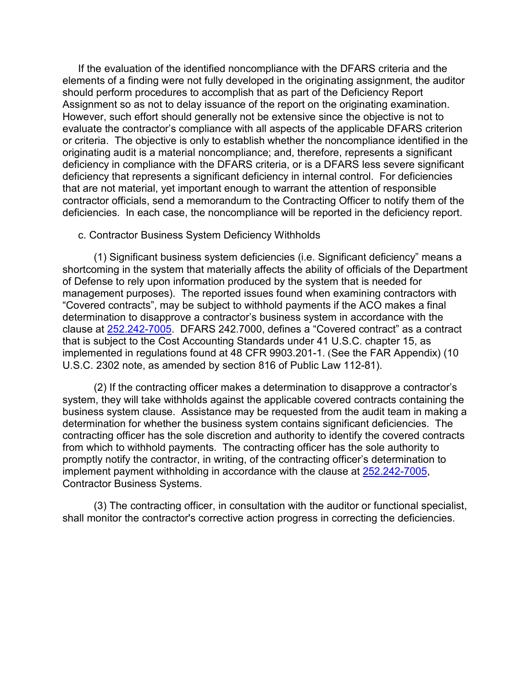If the evaluation of the identified noncompliance with the DFARS criteria and the elements of a finding were not fully developed in the originating assignment, the auditor should perform procedures to accomplish that as part of the Deficiency Report Assignment so as not to delay issuance of the report on the originating examination. However, such effort should generally not be extensive since the objective is not to evaluate the contractor's compliance with all aspects of the applicable DFARS criterion or criteria. The objective is only to establish whether the noncompliance identified in the originating audit is a material noncompliance; and, therefore, represents a significant deficiency in compliance with the DFARS criteria, or is a DFARS less severe significant deficiency that represents a significant deficiency in internal control. For deficiencies that are not material, yet important enough to warrant the attention of responsible contractor officials, send a memorandum to the Contracting Officer to notify them of the deficiencies. In each case, the noncompliance will be reported in the deficiency report.

#### c. Contractor Business System Deficiency Withholds

(1) Significant business system deficiencies (i.e. Significant deficiency" means a shortcoming in the system that materially affects the ability of officials of the Department of Defense to rely upon information produced by the system that is needed for management purposes). The reported issues found when examining contractors with "Covered contracts", may be subject to withhold payments if the ACO makes a final determination to disapprove a contractor's business system in accordance with the clause at [252.242-7005.](http://www.acq.osd.mil/dpap/dars/dfars/html/current/252242.htm#252.242-7005) DFARS 242.7000, defines a "Covered contract" as a contract that is subject to the Cost Accounting Standards under 41 U.S.C. chapter 15, as implemented in regulations found at 48 CFR 9903.201-1. (See the FAR Appendix) (10 U.S.C. 2302 note, as amended by section 816 of Public Law 112-81).

(2) If the contracting officer makes a determination to disapprove a contractor's system, they will take withholds against the applicable covered contracts containing the business system clause. Assistance may be requested from the audit team in making a determination for whether the business system contains significant deficiencies. The contracting officer has the sole discretion and authority to identify the covered contracts from which to withhold payments. The contracting officer has the sole authority to promptly notify the contractor, in writing, of the contracting officer's determination to implement payment withholding in accordance with the clause at [252.242-7005,](http://www.acq.osd.mil/dpap/dars/dfars/html/current/252242.htm#252.242-7005) Contractor Business Systems.

(3) The contracting officer, in consultation with the auditor or functional specialist, shall monitor the contractor's corrective action progress in correcting the deficiencies.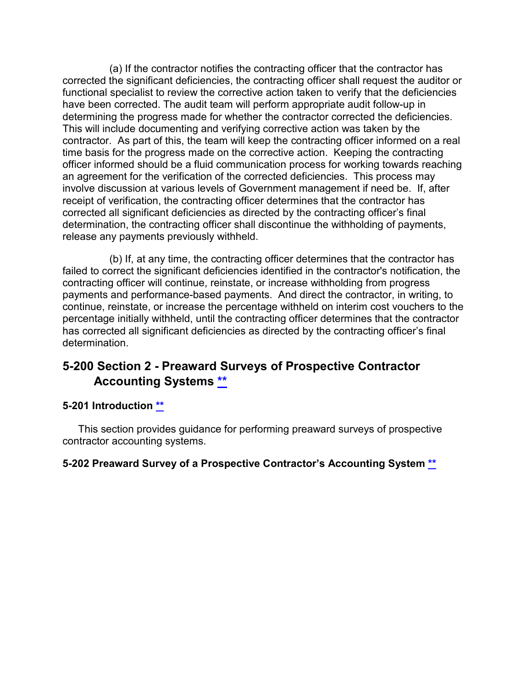(a) If the contractor notifies the contracting officer that the contractor has corrected the significant deficiencies, the contracting officer shall request the auditor or functional specialist to review the corrective action taken to verify that the deficiencies have been corrected. The audit team will perform appropriate audit follow-up in determining the progress made for whether the contractor corrected the deficiencies. This will include documenting and verifying corrective action was taken by the contractor. As part of this, the team will keep the contracting officer informed on a real time basis for the progress made on the corrective action. Keeping the contracting officer informed should be a fluid communication process for working towards reaching an agreement for the verification of the corrected deficiencies. This process may involve discussion at various levels of Government management if need be. If, after receipt of verification, the contracting officer determines that the contractor has corrected all significant deficiencies as directed by the contracting officer's final determination, the contracting officer shall discontinue the withholding of payments, release any payments previously withheld.

(b) If, at any time, the contracting officer determines that the contractor has failed to correct the significant deficiencies identified in the contractor's notification, the contracting officer will continue, reinstate, or increase withholding from progress payments and performance-based payments. And direct the contractor, in writing, to continue, reinstate, or increase the percentage withheld on interim cost vouchers to the percentage initially withheld, until the contracting officer determines that the contractor has corrected all significant deficiencies as directed by the contracting officer's final determination.

# <span id="page-18-0"></span>**5-200 Section 2 - Preaward Surveys of Prospective Contractor Accounting Systems [\\*\\*](#page-1-4)**

#### <span id="page-18-1"></span>**5-201 Introduction [\\*\\*](#page-1-5)**

This section provides guidance for performing preaward surveys of prospective contractor accounting systems.

# <span id="page-18-2"></span>**5-202 Preaward Survey of a Prospective Contractor's Accounting System [\\*\\*](#page-1-6)**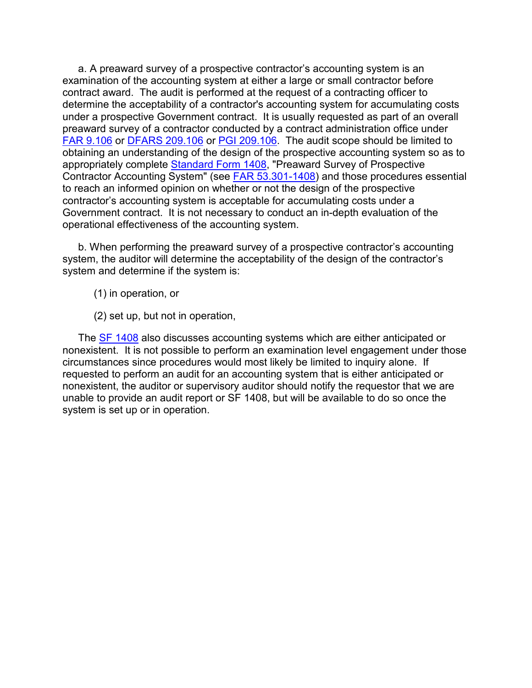a. A preaward survey of a prospective contractor's accounting system is an examination of the accounting system at either a large or small contractor before contract award. The audit is performed at the request of a contracting officer to determine the acceptability of a contractor's accounting system for accumulating costs under a prospective Government contract. It is usually requested as part of an overall preaward survey of a contractor conducted by a contract administration office under [FAR 9.106](http://www.ecfr.gov/cgi-bin/text-idx?SID=5fc01c5da7b28fb2d82d6e82341e3d66&mc=true&node=pt48.1.9&rgn=div5#se48.1.9_1106) or [DFARS 209.106](http://www.ecfr.gov/cgi-bin/text-idx?SID=5fc01c5da7b28fb2d82d6e82341e3d66&mc=true&node=pt48.3.209&rgn=div5#se48.3.209_1106) or [PGI 209.106.](https://www.acq.osd.mil/dpap/dars/pgi/pgi_htm/current/PGI209_1.htm) The audit scope should be limited to obtaining an understanding of the design of the prospective accounting system so as to appropriately complete [Standard Form 1408,](http://www.gsa.gov/portal/forms/download/115778) "Preaward Survey of Prospective Contractor Accounting System" (see [FAR 53.301-1408\)](http://www.ecfr.gov/cgi-bin/text-idx?SID=22c0f8636321d8e0a5ffcb67b4943b77&mc=true&node=se48.2.53_1301_61408&rgn=div8) and those procedures essential to reach an informed opinion on whether or not the design of the prospective contractor's accounting system is acceptable for accumulating costs under a Government contract. It is not necessary to conduct an in-depth evaluation of the operational effectiveness of the accounting system.

b. When performing the preaward survey of a prospective contractor's accounting system, the auditor will determine the acceptability of the design of the contractor's system and determine if the system is:

- (1) in operation, or
- (2) set up, but not in operation,

The [SF 1408](http://www.gsa.gov/portal/forms/download/115778) also discusses accounting systems which are either anticipated or nonexistent. It is not possible to perform an examination level engagement under those circumstances since procedures would most likely be limited to inquiry alone. If requested to perform an audit for an accounting system that is either anticipated or nonexistent, the auditor or supervisory auditor should notify the requestor that we are unable to provide an audit report or SF 1408, but will be available to do so once the system is set up or in operation.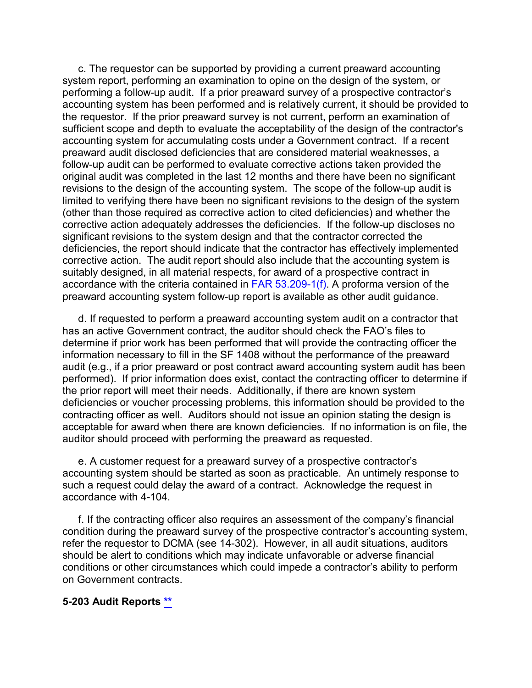c. The requestor can be supported by providing a current preaward accounting system report, performing an examination to opine on the design of the system, or performing a follow-up audit. If a prior preaward survey of a prospective contractor's accounting system has been performed and is relatively current, it should be provided to the requestor. If the prior preaward survey is not current, perform an examination of sufficient scope and depth to evaluate the acceptability of the design of the contractor's accounting system for accumulating costs under a Government contract. If a recent preaward audit disclosed deficiencies that are considered material weaknesses, a follow-up audit can be performed to evaluate corrective actions taken provided the original audit was completed in the last 12 months and there have been no significant revisions to the design of the accounting system. The scope of the follow-up audit is limited to verifying there have been no significant revisions to the design of the system (other than those required as corrective action to cited deficiencies) and whether the corrective action adequately addresses the deficiencies. If the follow-up discloses no significant revisions to the system design and that the contractor corrected the deficiencies, the report should indicate that the contractor has effectively implemented corrective action. The audit report should also include that the accounting system is suitably designed, in all material respects, for award of a prospective contract in accordance with the criteria contained in [FAR 53.209-1\(f\).](http://www.ecfr.gov/cgi-bin/text-idx?SID=3f89f97fc8698adf6bcfb4e569b9fcc5&mc=true&node=se48.2.53_1209_61&rgn=div8) A proforma version of the preaward accounting system follow-up report is available as other audit guidance.

d. If requested to perform a preaward accounting system audit on a contractor that has an active Government contract, the auditor should check the FAO's files to determine if prior work has been performed that will provide the contracting officer the information necessary to fill in the SF 1408 without the performance of the preaward audit (e.g., if a prior preaward or post contract award accounting system audit has been performed). If prior information does exist, contact the contracting officer to determine if the prior report will meet their needs. Additionally, if there are known system deficiencies or voucher processing problems, this information should be provided to the contracting officer as well. Auditors should not issue an opinion stating the design is acceptable for award when there are known deficiencies. If no information is on file, the auditor should proceed with performing the preaward as requested.

e. A customer request for a preaward survey of a prospective contractor's accounting system should be started as soon as practicable. An untimely response to such a request could delay the award of a contract. Acknowledge the request in accordance with 4-104.

f. If the contracting officer also requires an assessment of the company's financial condition during the preaward survey of the prospective contractor's accounting system, refer the requestor to DCMA (see 14-302). However, in all audit situations, auditors should be alert to conditions which may indicate unfavorable or adverse financial conditions or other circumstances which could impede a contractor's ability to perform on Government contracts.

#### <span id="page-20-0"></span>**5-203 Audit Reports [\\*\\*](#page-1-7)**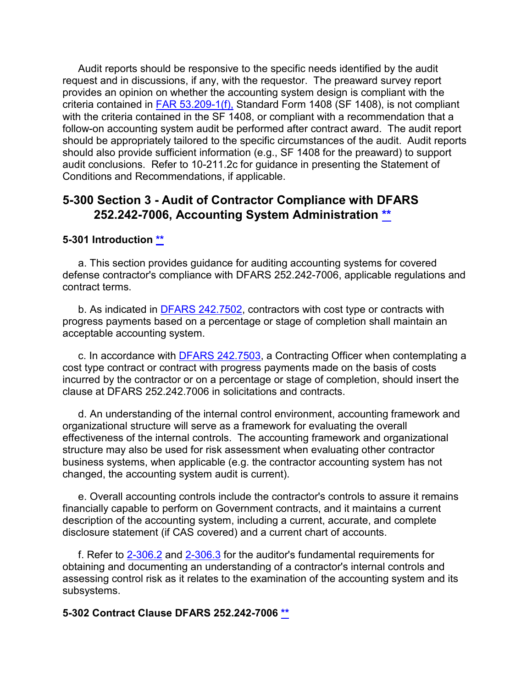Audit reports should be responsive to the specific needs identified by the audit request and in discussions, if any, with the requestor. The preaward survey report provides an opinion on whether the accounting system design is compliant with the criteria contained in **FAR 53.209-1(f)**, Standard Form 1408 (SF 1408), is not compliant with the criteria contained in the  $S$ F 1408, or compliant with a recommendation that a follow-on accounting system audit be performed after contract award. The audit report should be appropriately tailored to the specific circumstances of the audit. Audit reports should also provide sufficient information (e.g., SF 1408 for the preaward) to support audit conclusions. Refer to 10-211.2c for guidance in presenting the Statement of Conditions and Recommendations, if applicable.

# <span id="page-21-0"></span>**5-300 Section 3 - Audit of Contractor Compliance with DFARS 252.242-7006, Accounting System Administration [\\*\\*](#page-1-8)**

#### <span id="page-21-1"></span>**5-301 Introduction \*\***

a. This section provides guidance for auditing accounting systems for covered defense contractor's compliance with DFARS 252.242-7006, applicable regulations and contract terms.

b. As indicated in [DFARS 242.7502,](https://www.ecfr.gov/cgi-bin/text-idx?SID=731e4b704cd78452d820143191255459&mc=true&node=se48.3.242_17502&rgn=div8) contractors with cost type or contracts with progress payments based on a percentage or stage of completion shall maintain an acceptable accounting system.

c. In accordance with [DFARS 242.7503,](https://www.ecfr.gov/cgi-bin/text-idx?SID=2169047aea7a5dfc2ed0da66689e575a&mc=true&node=se48.3.242_17503&rgn=div8) a Contracting Officer when contemplating a cost type contract or contract with progress payments made on the basis of costs incurred by the contractor or on a percentage or stage of completion, should insert the clause at DFARS 252.242.7006 in solicitations and contracts.

d. An understanding of the internal control environment, accounting framework and organizational structure will serve as a framework for evaluating the overall effectiveness of the internal controls. The accounting framework and organizational structure may also be used for risk assessment when evaluating other contractor business systems, when applicable (e.g. the contractor accounting system has not changed, the accounting system audit is current).

e. Overall accounting controls include the contractor's controls to assure it remains financially capable to perform on Government contracts, and it maintains a current description of the accounting system, including a current, accurate, and complete disclosure statement (if CAS covered) and a current chart of accounts.

f. Refer to [2-306.2](https://viper.dcaa.mil/guidance/cam/3128/auditing-standards#Sec23062) and [2-306.3](https://viper.dcaa.mil/guidance/cam/3128/auditing-standards#Sec23063) for the auditor's fundamental requirements for obtaining and documenting an understanding of a contractor's internal controls and assessing control risk as it relates to the examination of the accounting system and its subsystems.

<span id="page-21-2"></span>**5-302 Contract Clause DFARS 252.242-7006 [\\*\\*](#page-1-9)**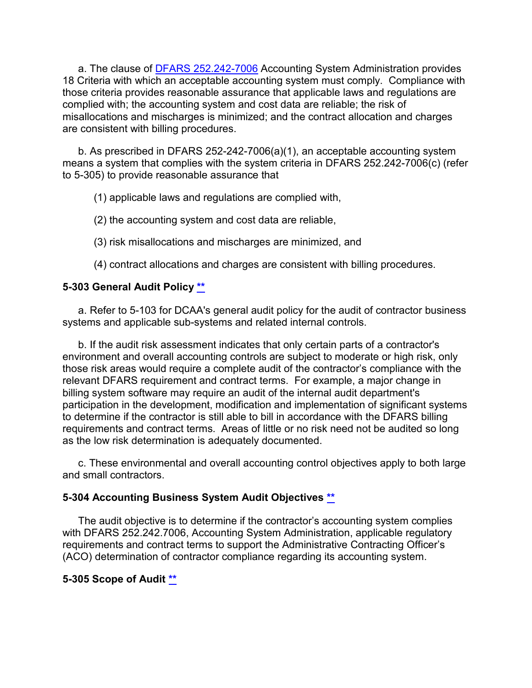a. The clause of [DFARS 252.242-7006](https://www.ecfr.gov/cgi-bin/text-idx?SID=86ac23dbebe727cfa7a6d74c978b4073&mc=true&node=se48.3.252_1242_67006&rgn=div8) Accounting System Administration provides 18 Criteria with which an acceptable accounting system must comply. Compliance with those criteria provides reasonable assurance that applicable laws and regulations are complied with; the accounting system and cost data are reliable; the risk of misallocations and mischarges is minimized; and the contract allocation and charges are consistent with billing procedures.

b. As prescribed in DFARS 252-242-7006(a)(1), an acceptable accounting system means a system that complies with the system criteria in DFARS 252.242-7006(c) (refer to 5-305) to provide reasonable assurance that

(1) applicable laws and regulations are complied with,

(2) the accounting system and cost data are reliable,

(3) risk misallocations and mischarges are minimized, and

(4) contract allocations and charges are consistent with billing procedures.

# <span id="page-22-0"></span>**5-303 General Audit Policy [\\*\\*](#page-1-10)**

a. Refer to 5-103 for DCAA's general audit policy for the audit of contractor business systems and applicable sub-systems and related internal controls.

b. If the audit risk assessment indicates that only certain parts of a contractor's environment and overall accounting controls are subject to moderate or high risk, only those risk areas would require a complete audit of the contractor's compliance with the relevant DFARS requirement and contract terms. For example, a major change in billing system software may require an audit of the internal audit department's participation in the development, modification and implementation of significant systems to determine if the contractor is still able to bill in accordance with the DFARS billing requirements and contract terms. Areas of little or no risk need not be audited so long as the low risk determination is adequately documented.

c. These environmental and overall accounting control objectives apply to both large and small contractors.

# <span id="page-22-1"></span>**5-304 Accounting Business System Audit Objectives [\\*\\*](#page-1-11)**

The audit objective is to determine if the contractor's accounting system complies with DFARS 252.242.7006, Accounting System Administration, applicable regulatory requirements and contract terms to support the Administrative Contracting Officer's (ACO) determination of contractor compliance regarding its accounting system.

# <span id="page-22-2"></span>**5-305 Scope of Audit [\\*\\*](#page-1-12)**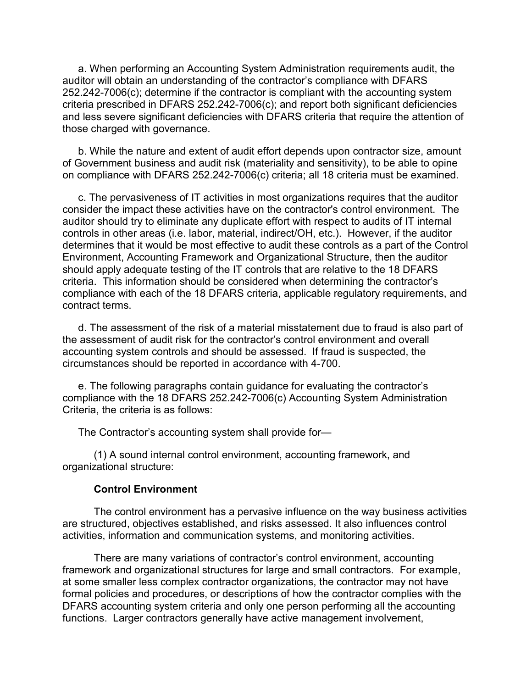a. When performing an Accounting System Administration requirements audit, the auditor will obtain an understanding of the contractor's compliance with DFARS 252.242-7006(c); determine if the contractor is compliant with the accounting system criteria prescribed in DFARS 252.242-7006(c); and report both significant deficiencies and less severe significant deficiencies with DFARS criteria that require the attention of those charged with governance.

b. While the nature and extent of audit effort depends upon contractor size, amount of Government business and audit risk (materiality and sensitivity), to be able to opine on compliance with DFARS 252.242-7006(c) criteria; all 18 criteria must be examined.

c. The pervasiveness of IT activities in most organizations requires that the auditor consider the impact these activities have on the contractor's control environment. The auditor should try to eliminate any duplicate effort with respect to audits of IT internal controls in other areas (i.e. labor, material, indirect/OH, etc.). However, if the auditor determines that it would be most effective to audit these controls as a part of the Control Environment, Accounting Framework and Organizational Structure, then the auditor should apply adequate testing of the IT controls that are relative to the 18 DFARS criteria. This information should be considered when determining the contractor's compliance with each of the 18 DFARS criteria, applicable regulatory requirements, and contract terms.

d. The assessment of the risk of a material misstatement due to fraud is also part of the assessment of audit risk for the contractor's control environment and overall accounting system controls and should be assessed. If fraud is suspected, the circumstances should be reported in accordance with 4-700.

e. The following paragraphs contain guidance for evaluating the contractor's compliance with the 18 DFARS 252.242-7006(c) Accounting System Administration Criteria, the criteria is as follows:

The Contractor's accounting system shall provide for—

(1) A sound internal control environment, accounting framework, and organizational structure:

#### **Control Environment**

The control environment has a pervasive influence on the way business activities are structured, objectives established, and risks assessed. It also influences control activities, information and communication systems, and monitoring activities.

There are many variations of contractor's control environment, accounting framework and organizational structures for large and small contractors. For example, at some smaller less complex contractor organizations, the contractor may not have formal policies and procedures, or descriptions of how the contractor complies with the DFARS accounting system criteria and only one person performing all the accounting functions. Larger contractors generally have active management involvement,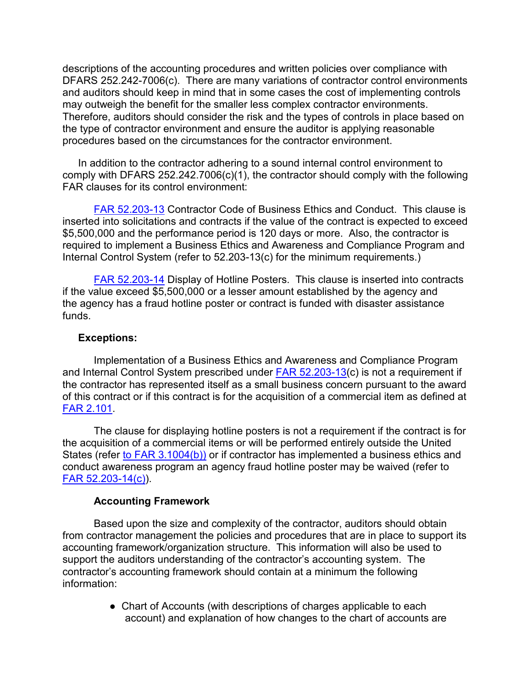descriptions of the accounting procedures and written policies over compliance with DFARS 252.242-7006(c). There are many variations of contractor control environments and auditors should keep in mind that in some cases the cost of implementing controls may outweigh the benefit for the smaller less complex contractor environments. Therefore, auditors should consider the risk and the types of controls in place based on the type of contractor environment and ensure the auditor is applying reasonable procedures based on the circumstances for the contractor environment.

In addition to the contractor adhering to a sound internal control environment to comply with DFARS 252.242.7006(c)(1), the contractor should comply with the following FAR clauses for its control environment:

[FAR 52.203-13](http://www.ecfr.gov/cgi-bin/text-idx?SID=dbb76c1d025dd5b0214ecf8c4a309e77&node=se48.2.52_1203_613&rgn=div8) Contractor Code of Business Ethics and Conduct. This clause is inserted into solicitations and contracts if the value of the contract is expected to exceed \$5,500,000 and the performance period is 120 days or more. Also, the contractor is required to implement a Business Ethics and Awareness and Compliance Program and Internal Control System (refer to 52.203-13(c) for the minimum requirements.)

[FAR 52.203-14](http://www.ecfr.gov/cgi-bin/text-idx?SID=dbb76c1d025dd5b0214ecf8c4a309e77&node=se48.2.52_1203_614&rgn=div8) Display of Hotline Posters. This clause is inserted into contracts if the value exceed \$5,500,000 or a lesser amount established by the agency and the agency has a fraud hotline poster or contract is funded with disaster assistance funds.

#### **Exceptions:**

Implementation of a Business Ethics and Awareness and Compliance Program and Internal Control System prescribed under FAR [52.203-13\(](http://www.ecfr.gov/cgi-bin/text-idx?SID=dbb76c1d025dd5b0214ecf8c4a309e77&node=se48.2.52_1203_614&rgn=div8)c) is not a requirement if the contractor has represented itself as a small business concern pursuant to the award of this contract or if this contract is for the acquisition of a commercial item as defined at [FAR 2.101.](http://www.ecfr.gov/cgi-bin/text-idx?SID=dbb76c1d025dd5b0214ecf8c4a309e77&node=se48.1.2_1101&rgn=div8)

The clause for displaying hotline posters is not a requirement if the contract is for the acquisition of a commercial items or will be performed entirely outside the United States (refer to [FAR 3.1004\(b\)\)](http://www.ecfr.gov/cgi-bin/text-idx?SID=ec156f77d1d7c7e1729fdd8469cb223c&mc=true&node=se48.1.3_11004&rgn=div8) or if contractor has implemented a business ethics and conduct awareness program an agency fraud hotline poster may be waived (refer to FAR [52.203-14\(c\)\)](http://www.ecfr.gov/cgi-bin/text-idx?SID=ec156f77d1d7c7e1729fdd8469cb223c&mc=true&node=se48.2.52_1203_614&rgn=div8).

#### **Accounting Framework**

Based upon the size and complexity of the contractor, auditors should obtain from contractor management the policies and procedures that are in place to support its accounting framework/organization structure. This information will also be used to support the auditors understanding of the contractor's accounting system. The contractor's accounting framework should contain at a minimum the following information:

> • Chart of Accounts (with descriptions of charges applicable to each account) and explanation of how changes to the chart of accounts are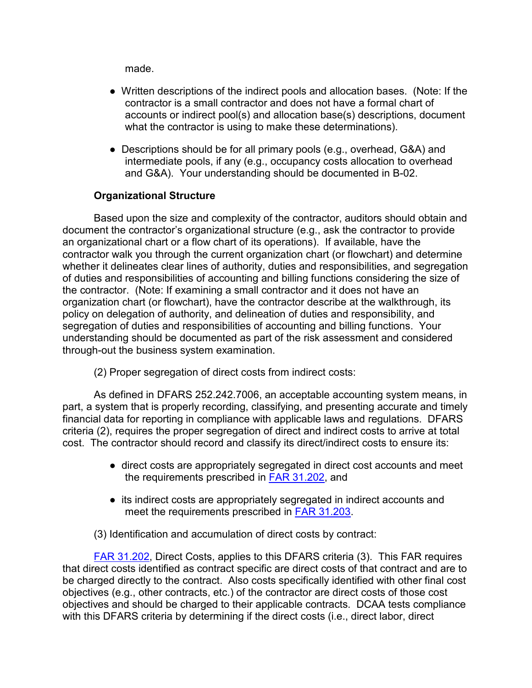made.

- Written descriptions of the indirect pools and allocation bases. (Note: If the contractor is a small contractor and does not have a formal chart of accounts or indirect pool(s) and allocation base(s) descriptions, document what the contractor is using to make these determinations).
- Descriptions should be for all primary pools (e.g., overhead, G&A) and intermediate pools, if any (e.g., occupancy costs allocation to overhead and G&A). Your understanding should be documented in B-02.

# **Organizational Structure**

Based upon the size and complexity of the contractor, auditors should obtain and document the contractor's organizational structure (e.g., ask the contractor to provide an organizational chart or a flow chart of its operations). If available, have the contractor walk you through the current organization chart (or flowchart) and determine whether it delineates clear lines of authority, duties and responsibilities, and segregation of duties and responsibilities of accounting and billing functions considering the size of the contractor. (Note: If examining a small contractor and it does not have an organization chart (or flowchart), have the contractor describe at the walkthrough, its policy on delegation of authority, and delineation of duties and responsibility, and segregation of duties and responsibilities of accounting and billing functions. Your understanding should be documented as part of the risk assessment and considered through-out the business system examination.

(2) Proper segregation of direct costs from indirect costs:

As defined in DFARS 252.242.7006, an acceptable accounting system means, in part, a system that is properly recording, classifying, and presenting accurate and timely financial data for reporting in compliance with applicable laws and regulations. DFARS criteria (2), requires the proper segregation of direct and indirect costs to arrive at total cost. The contractor should record and classify its direct/indirect costs to ensure its:

- direct costs are appropriately segregated in direct cost accounts and meet the requirements prescribed in **FAR 31.202**, and
- its indirect costs are appropriately segregated in indirect accounts and meet the requirements prescribed in [FAR 31.203.](http://www.ecfr.gov/cgi-bin/text-idx?SID=44b0577e45c6bf172210a3c8b7aabbaf&node=se48.1.31_1203&rgn=div8)
- (3) Identification and accumulation of direct costs by contract:

[FAR 31.202,](http://www.ecfr.gov/cgi-bin/text-idx?SID=44b0577e45c6bf172210a3c8b7aabbaf&node=se48.1.31_1202&rgn=div8) Direct Costs, applies to this DFARS criteria (3). This FAR requires that direct costs identified as contract specific are direct costs of that contract and are to be charged directly to the contract. Also costs specifically identified with other final cost objectives (e.g., other contracts, etc.) of the contractor are direct costs of those cost objectives and should be charged to their applicable contracts. DCAA tests compliance with this DFARS criteria by determining if the direct costs (i.e., direct labor, direct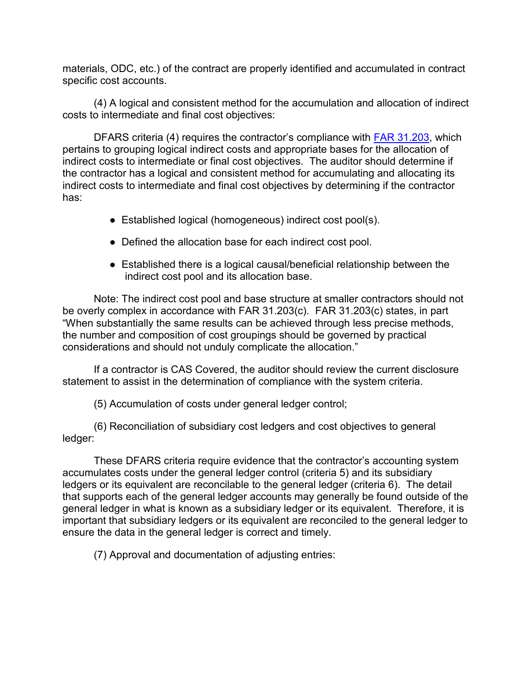materials, ODC, etc.) of the contract are properly identified and accumulated in contract specific cost accounts.

(4) A logical and consistent method for the accumulation and allocation of indirect costs to intermediate and final cost objectives:

DFARS criteria (4) requires the contractor's compliance with [FAR 31.203,](http://www.ecfr.gov/cgi-bin/text-idx?SID=44b0577e45c6bf172210a3c8b7aabbaf&node=se48.1.31_1203&rgn=div8) which pertains to grouping logical indirect costs and appropriate bases for the allocation of indirect costs to intermediate or final cost objectives. The auditor should determine if the contractor has a logical and consistent method for accumulating and allocating its indirect costs to intermediate and final cost objectives by determining if the contractor has:

- Established logical (homogeneous) indirect cost pool(s).
- Defined the allocation base for each indirect cost pool.
- Established there is a logical causal/beneficial relationship between the indirect cost pool and its allocation base.

Note: The indirect cost pool and base structure at smaller contractors should not be overly complex in accordance with FAR 31.203(c). FAR 31.203(c) states, in part "When substantially the same results can be achieved through less precise methods, the number and composition of cost groupings should be governed by practical considerations and should not unduly complicate the allocation."

If a contractor is CAS Covered, the auditor should review the current disclosure statement to assist in the determination of compliance with the system criteria.

(5) Accumulation of costs under general ledger control;

(6) Reconciliation of subsidiary cost ledgers and cost objectives to general ledger:

These DFARS criteria require evidence that the contractor's accounting system accumulates costs under the general ledger control (criteria 5) and its subsidiary ledgers or its equivalent are reconcilable to the general ledger (criteria 6). The detail that supports each of the general ledger accounts may generally be found outside of the general ledger in what is known as a subsidiary ledger or its equivalent. Therefore, it is important that subsidiary ledgers or its equivalent are reconciled to the general ledger to ensure the data in the general ledger is correct and timely.

(7) Approval and documentation of adjusting entries: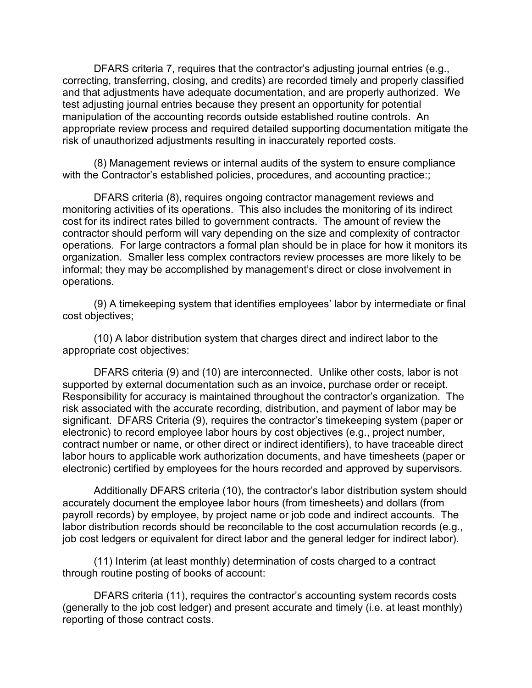DFARS criteria 7, requires that the contractor's adjusting journal entries (e.g., correcting, transferring, closing, and credits) are recorded timely and properly classified and that adjustments have adequate documentation, and are properly authorized. We test adjusting journal entries because they present an opportunity for potential manipulation of the accounting records outside established routine controls. An appropriate review process and required detailed supporting documentation mitigate the risk of unauthorized adjustments resulting in inaccurately reported costs.

(8) Management reviews or internal audits of the system to ensure compliance with the Contractor's established policies, procedures, and accounting practice:;

DFARS criteria (8), requires ongoing contractor management reviews and monitoring activities of its operations. This also includes the monitoring of its indirect cost for its indirect rates billed to government contracts. The amount of review the contractor should perform will vary depending on the size and complexity of contractor operations. For large contractors a formal plan should be in place for how it monitors its organization. Smaller less complex contractors review processes are more likely to be informal; they may be accomplished by management's direct or close involvement in operations.

(9) A timekeeping system that identifies employees' labor by intermediate or final cost objectives;

(10) A labor distribution system that charges direct and indirect labor to the appropriate cost objectives:

DFARS criteria (9) and (10) are interconnected. Unlike other costs, labor is not supported by external documentation such as an invoice, purchase order or receipt. Responsibility for accuracy is maintained throughout the contractor's organization. The risk associated with the accurate recording, distribution, and payment of labor may be significant. DFARS Criteria (9), requires the contractor's timekeeping system (paper or electronic) to record employee labor hours by cost objectives (e.g., project number, contract number or name, or other direct or indirect identifiers), to have traceable direct labor hours to applicable work authorization documents, and have timesheets (paper or electronic) certified by employees for the hours recorded and approved by supervisors.

Additionally DFARS criteria (10), the contractor's labor distribution system should accurately document the employee labor hours (from timesheets) and dollars (from payroll records) by employee, by project name or job code and indirect accounts. The labor distribution records should be reconcilable to the cost accumulation records (e.g., job cost ledgers or equivalent for direct labor and the general ledger for indirect labor).

(11) Interim (at least monthly) determination of costs charged to a contract through routine posting of books of account:

DFARS criteria (11), requires the contractor's accounting system records costs (generally to the job cost ledger) and present accurate and timely (i.e. at least monthly) reporting of those contract costs.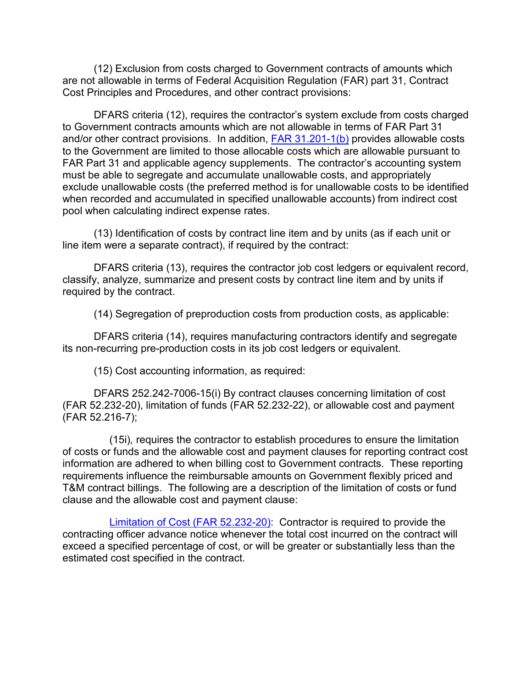(12) Exclusion from costs charged to Government contracts of amounts which are not allowable in terms of Federal Acquisition Regulation (FAR) part 31, Contract Cost Principles and Procedures, and other contract provisions:

DFARS criteria (12), requires the contractor's system exclude from costs charged to Government contracts amounts which are not allowable in terms of FAR Part 31 and/or other contract provisions. In addition, [FAR 31.201-1\(b\)](http://www.ecfr.gov/cgi-bin/text-idx?SID=98c0c7a0debd7f3803682570bc1b00a6&node=se48.1.31_1201_61&rgn=div8) provides allowable costs to the Government are limited to those allocable costs which are allowable pursuant to FAR Part 31 and applicable agency supplements. The contractor's accounting system must be able to segregate and accumulate unallowable costs, and appropriately exclude unallowable costs (the preferred method is for unallowable costs to be identified when recorded and accumulated in specified unallowable accounts) from indirect cost pool when calculating indirect expense rates.

(13) Identification of costs by contract line item and by units (as if each unit or line item were a separate contract), if required by the contract:

DFARS criteria (13), requires the contractor job cost ledgers or equivalent record, classify, analyze, summarize and present costs by contract line item and by units if required by the contract.

(14) Segregation of preproduction costs from production costs, as applicable:

DFARS criteria (14), requires manufacturing contractors identify and segregate its non-recurring pre-production costs in its job cost ledgers or equivalent.

(15) Cost accounting information, as required:

DFARS 252.242-7006-15(i) By contract clauses concerning limitation of cost (FAR 52.232-20), limitation of funds (FAR 52.232-22), or allowable cost and payment (FAR 52.216-7);

(15i)*,* requires the contractor to establish procedures to ensure the limitation of costs or funds and the allowable cost and payment clauses for reporting contract cost information are adhered to when billing cost to Government contracts. These reporting requirements influence the reimbursable amounts on Government flexibly priced and T&M contract billings. The following are a description of the limitation of costs or fund clause and the allowable cost and payment clause:

[Limitation of Cost \(FAR 52.232-20\):](http://www.ecfr.gov/cgi-bin/text-idx?SID=354abc348a9093821be67330c26aa8be&node=se48.2.52_1232_620&rgn=div8) Contractor is required to provide the contracting officer advance notice whenever the total cost incurred on the contract will exceed a specified percentage of cost, or will be greater or substantially less than the estimated cost specified in the contract.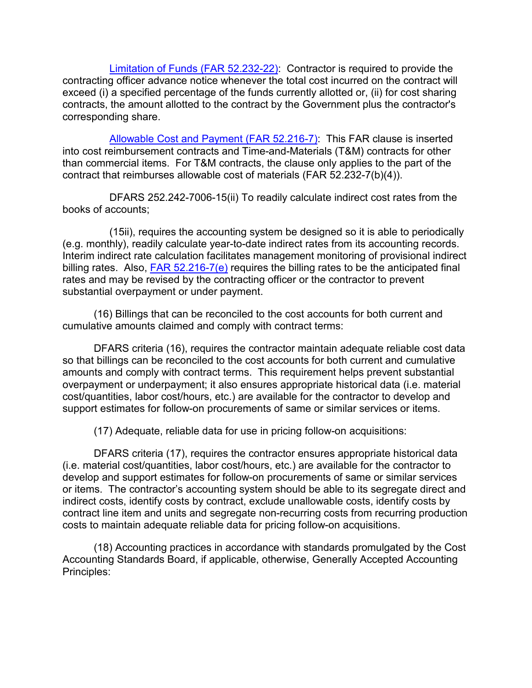[Limitation of Funds \(FAR 52.232-22\):](http://www.ecfr.gov/cgi-bin/text-idx?SID=354abc348a9093821be67330c26aa8be&node=se48.2.52_1232_622&rgn=div8) Contractor is required to provide the contracting officer advance notice whenever the total cost incurred on the contract will exceed (i) a specified percentage of the funds currently allotted or, (ii) for cost sharing contracts, the amount allotted to the contract by the Government plus the contractor's corresponding share.

[Allowable Cost and Payment \(FAR 52.216-7\):](http://www.ecfr.gov/cgi-bin/text-idx?SID=354abc348a9093821be67330c26aa8be&node=se48.2.52_1216_67&rgn=div8) This FAR clause is inserted into cost reimbursement contracts and Time-and-Materials (T&M) contracts for other than commercial items. For T&M contracts, the clause only applies to the part of the contract that reimburses allowable cost of materials (FAR 52.232-7(b)(4)).

DFARS 252.242-7006-15(ii) To readily calculate indirect cost rates from the books of accounts;

(15ii), requires the accounting system be designed so it is able to periodically (e.g. monthly), readily calculate year-to-date indirect rates from its accounting records. Interim indirect rate calculation facilitates management monitoring of provisional indirect billing rates. Also, [FAR 52.216-7\(e\)](http://www.ecfr.gov/cgi-bin/text-idx?SID=1f9791ffd698481285d6106c43abcc2e&node=se48.2.52_1216_67&rgn=div8) requires the billing rates to be the anticipated final rates and may be revised by the contracting officer or the contractor to prevent substantial overpayment or under payment.

(16) Billings that can be reconciled to the cost accounts for both current and cumulative amounts claimed and comply with contract terms:

DFARS criteria (16), requires the contractor maintain adequate reliable cost data so that billings can be reconciled to the cost accounts for both current and cumulative amounts and comply with contract terms. This requirement helps prevent substantial overpayment or underpayment; it also ensures appropriate historical data (i.e. material cost/quantities, labor cost/hours, etc.) are available for the contractor to develop and support estimates for follow-on procurements of same or similar services or items.

(17) Adequate, reliable data for use in pricing follow-on acquisitions:

DFARS criteria (17), requires the contractor ensures appropriate historical data (i.e. material cost/quantities, labor cost/hours, etc.) are available for the contractor to develop and support estimates for follow-on procurements of same or similar services or items. The contractor's accounting system should be able to its segregate direct and indirect costs, identify costs by contract, exclude unallowable costs, identify costs by contract line item and units and segregate non-recurring costs from recurring production costs to maintain adequate reliable data for pricing follow-on acquisitions.

(18) Accounting practices in accordance with standards promulgated by the Cost Accounting Standards Board, if applicable, otherwise, Generally Accepted Accounting Principles: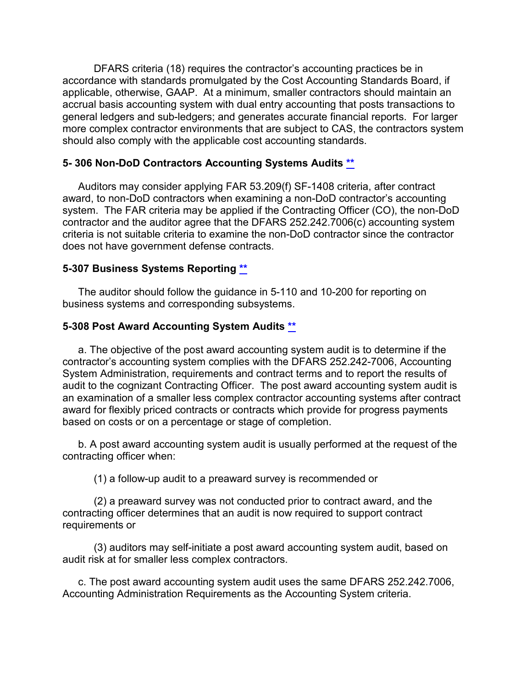DFARS criteria (18) requires the contractor's accounting practices be in accordance with standards promulgated by the Cost Accounting Standards Board, if applicable, otherwise, GAAP. At a minimum, smaller contractors should maintain an accrual basis accounting system with dual entry accounting that posts transactions to general ledgers and sub-ledgers; and generates accurate financial reports. For larger more complex contractor environments that are subject to CAS, the contractors system should also comply with the applicable cost accounting standards.

#### <span id="page-30-0"></span>**5- 306 Non-DoD Contractors Accounting Systems Audits [\\*\\*](#page-1-13)**

Auditors may consider applying FAR 53.209(f) SF-1408 criteria, after contract award, to non-DoD contractors when examining a non-DoD contractor's accounting system. The FAR criteria may be applied if the Contracting Officer (CO), the non-DoD contractor and the auditor agree that the DFARS 252.242.7006(c) accounting system criteria is not suitable criteria to examine the non-DoD contractor since the contractor does not have government defense contracts.

#### <span id="page-30-1"></span>**5-307 Business Systems Reporting [\\*\\*](#page-1-14)**

The auditor should follow the guidance in 5-110 and 10-200 for reporting on business systems and corresponding subsystems.

#### <span id="page-30-2"></span>**5-308 Post Award Accounting System Audits [\\*\\*](#page-1-15)**

a. The objective of the post award accounting system audit is to determine if the contractor's accounting system complies with the DFARS 252.242-7006, Accounting System Administration, requirements and contract terms and to report the results of audit to the cognizant Contracting Officer. The post award accounting system audit is an examination of a smaller less complex contractor accounting systems after contract award for flexibly priced contracts or contracts which provide for progress payments based on costs or on a percentage or stage of completion.

b. A post award accounting system audit is usually performed at the request of the contracting officer when:

(1) a follow-up audit to a preaward survey is recommended or

(2) a preaward survey was not conducted prior to contract award, and the contracting officer determines that an audit is now required to support contract requirements or

(3) auditors may self-initiate a post award accounting system audit, based on audit risk at for smaller less complex contractors.

c. The post award accounting system audit uses the same DFARS 252.242.7006, Accounting Administration Requirements as the Accounting System criteria.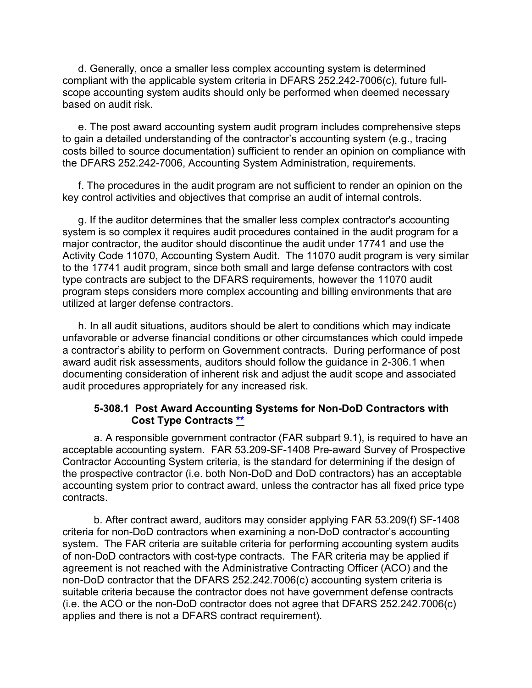d. Generally, once a smaller less complex accounting system is determined compliant with the applicable system criteria in DFARS 252.242-7006(c), future fullscope accounting system audits should only be performed when deemed necessary based on audit risk.

e. The post award accounting system audit program includes comprehensive steps to gain a detailed understanding of the contractor's accounting system (e.g., tracing costs billed to source documentation) sufficient to render an opinion on compliance with the DFARS 252.242-7006, Accounting System Administration, requirements.

f. The procedures in the audit program are not sufficient to render an opinion on the key control activities and objectives that comprise an audit of internal controls.

g. If the auditor determines that the smaller less complex contractor's accounting system is so complex it requires audit procedures contained in the audit program for a major contractor, the auditor should discontinue the audit under 17741 and use the Activity Code 11070, Accounting System Audit. The 11070 audit program is very similar to the 17741 audit program, since both small and large defense contractors with cost type contracts are subject to the DFARS requirements, however the 11070 audit program steps considers more complex accounting and billing environments that are utilized at larger defense contractors.

h. In all audit situations, auditors should be alert to conditions which may indicate unfavorable or adverse financial conditions or other circumstances which could impede a contractor's ability to perform on Government contracts. During performance of post award audit risk assessments, auditors should follow the guidance in 2-306.1 when documenting consideration of inherent risk and adjust the audit scope and associated audit procedures appropriately for any increased risk.

#### **5-308.1 Post Award Accounting Systems for Non-DoD Contractors with Cost Type Contracts [\\*\\*](#page-1-16)**

<span id="page-31-0"></span>a. A responsible government contractor (FAR subpart 9.1), is required to have an acceptable accounting system. FAR 53.209-SF-1408 Pre-award Survey of Prospective Contractor Accounting System criteria, is the standard for determining if the design of the prospective contractor (i.e. both Non-DoD and DoD contractors) has an acceptable accounting system prior to contract award, unless the contractor has all fixed price type contracts.

b. After contract award, auditors may consider applying FAR 53.209(f) SF-1408 criteria for non-DoD contractors when examining a non-DoD contractor's accounting system. The FAR criteria are suitable criteria for performing accounting system audits of non-DoD contractors with cost-type contracts. The FAR criteria may be applied if agreement is not reached with the Administrative Contracting Officer (ACO) and the non-DoD contractor that the DFARS 252.242.7006(c) accounting system criteria is suitable criteria because the contractor does not have government defense contracts (i.e. the ACO or the non-DoD contractor does not agree that DFARS 252.242.7006(c) applies and there is not a DFARS contract requirement).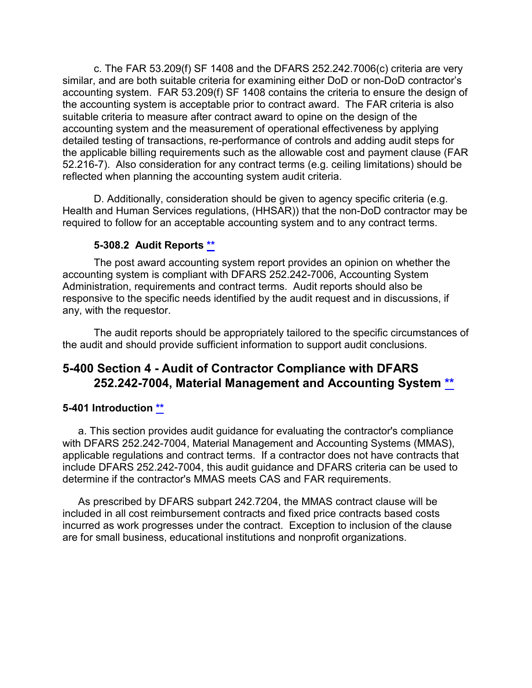c. The FAR 53.209(f) SF 1408 and the DFARS 252.242.7006(c) criteria are very similar, and are both suitable criteria for examining either DoD or non-DoD contractor's accounting system. FAR 53.209(f) SF 1408 contains the criteria to ensure the design of the accounting system is acceptable prior to contract award. The FAR criteria is also suitable criteria to measure after contract award to opine on the design of the accounting system and the measurement of operational effectiveness by applying detailed testing of transactions, re-performance of controls and adding audit steps for the applicable billing requirements such as the allowable cost and payment clause (FAR 52.216-7). Also consideration for any contract terms (e.g. ceiling limitations) should be reflected when planning the accounting system audit criteria.

D. Additionally, consideration should be given to agency specific criteria (e.g. Health and Human Services regulations, (HHSAR)) that the non-DoD contractor may be required to follow for an acceptable accounting system and to any contract terms.

# **5-308.2 Audit Reports [\\*\\*](#page-1-15)**

<span id="page-32-0"></span>The post award accounting system report provides an opinion on whether the accounting system is compliant with DFARS 252.242-7006, Accounting System Administration, requirements and contract terms. Audit reports should also be responsive to the specific needs identified by the audit request and in discussions, if any, with the requestor.

The audit reports should be appropriately tailored to the specific circumstances of the audit and should provide sufficient information to support audit conclusions.

# <span id="page-32-1"></span>**5-400 Section 4 - Audit of Contractor Compliance with DFARS 252.242-7004, Material Management and Accounting System [\\*\\*](#page-1-17)**

# <span id="page-32-2"></span>**5-401 Introduction [\\*\\*](#page-1-18)**

a. This section provides audit guidance for evaluating the contractor's compliance with DFARS 252.242-7004, Material Management and Accounting Systems (MMAS), applicable regulations and contract terms. If a contractor does not have contracts that include DFARS 252.242-7004, this audit guidance and DFARS criteria can be used to determine if the contractor's MMAS meets CAS and FAR requirements.

As prescribed by DFARS subpart 242.7204, the MMAS contract clause will be included in all cost reimbursement contracts and fixed price contracts based costs incurred as work progresses under the contract. Exception to inclusion of the clause are for small business, educational institutions and nonprofit organizations.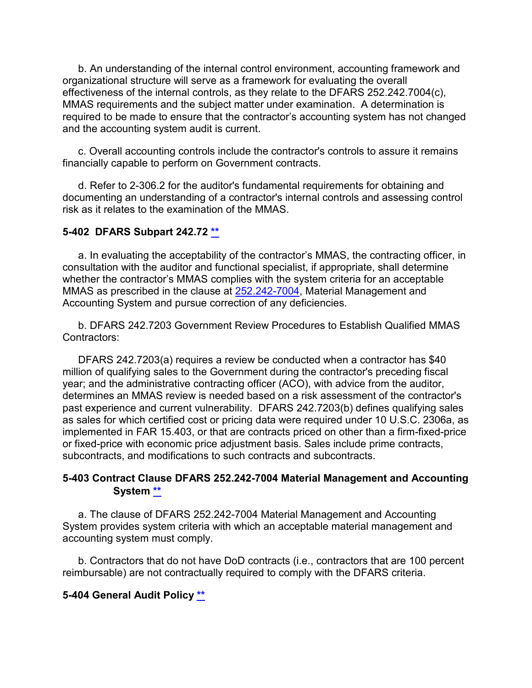b. An understanding of the internal control environment, accounting framework and organizational structure will serve as a framework for evaluating the overall effectiveness of the internal controls, as they relate to the DFARS 252.242.7004(c), MMAS requirements and the subject matter under examination. A determination is required to be made to ensure that the contractor's accounting system has not changed and the accounting system audit is current.

c. Overall accounting controls include the contractor's controls to assure it remains financially capable to perform on Government contracts.

d. Refer to 2-306.2 for the auditor's fundamental requirements for obtaining and documenting an understanding of a contractor's internal controls and assessing control risk as it relates to the examination of the MMAS.

### <span id="page-33-0"></span>**5-402 DFARS Subpart 242.72 [\\*\\*](#page-2-0)**

a. In evaluating the acceptability of the contractor's MMAS, the contracting officer, in consultation with the auditor and functional specialist, if appropriate, shall determine whether the contractor's MMAS complies with the system criteria for an acceptable MMAS as prescribed in the clause at [252.242-7004,](http://www.acq.osd.mil/dpap/dars/dfars/html/current/252242.htm#252.242-7004) Material Management and Accounting System and pursue correction of any deficiencies.

b. DFARS 242.7203 Government Review Procedures to Establish Qualified MMAS Contractors:

DFARS 242.7203(a) requires a review be conducted when a contractor has \$40 million of qualifying sales to the Government during the contractor's preceding fiscal year; and the administrative contracting officer (ACO), with advice from the auditor, determines an MMAS review is needed based on a risk assessment of the contractor's past experience and current vulnerability. DFARS 242.7203(b) defines qualifying sales as sales for which certified cost or pricing data were required under 10 U.S.C. 2306a, as implemented in FAR 15.403, or that are contracts priced on other than a firm-fixed-price or fixed-price with economic price adjustment basis. Sales include prime contracts, subcontracts, and modifications to such contracts and subcontracts.

### <span id="page-33-1"></span>**5-403 Contract Clause DFARS 252.242-7004 Material Management and Accounting System [\\*\\*](#page-2-1)**

a. The clause of DFARS 252.242-7004 Material Management and Accounting System provides system criteria with which an acceptable material management and accounting system must comply.

b. Contractors that do not have DoD contracts (i.e., contractors that are 100 percent reimbursable) are not contractually required to comply with the DFARS criteria.

# <span id="page-33-2"></span>**5-404 General Audit Policy [\\*\\*](#page-2-2)**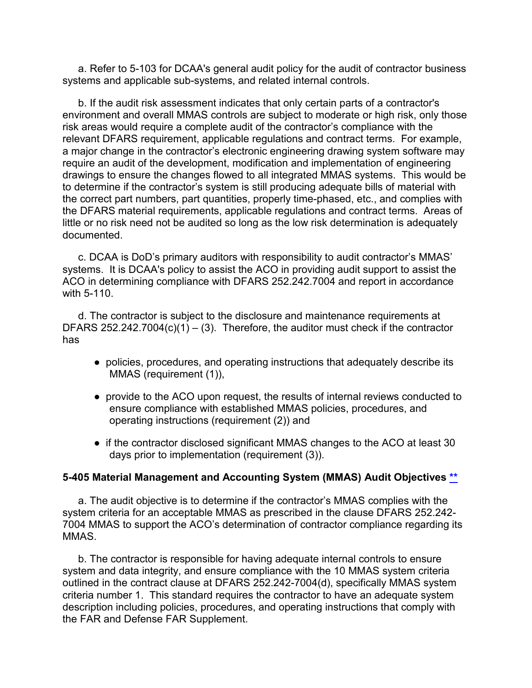a. Refer to 5-103 for DCAA's general audit policy for the audit of contractor business systems and applicable sub-systems, and related internal controls.

b. If the audit risk assessment indicates that only certain parts of a contractor's environment and overall MMAS controls are subject to moderate or high risk, only those risk areas would require a complete audit of the contractor's compliance with the relevant DFARS requirement, applicable regulations and contract terms. For example, a major change in the contractor's electronic engineering drawing system software may require an audit of the development, modification and implementation of engineering drawings to ensure the changes flowed to all integrated MMAS systems. This would be to determine if the contractor's system is still producing adequate bills of material with the correct part numbers, part quantities, properly time-phased, etc., and complies with the DFARS material requirements, applicable regulations and contract terms. Areas of little or no risk need not be audited so long as the low risk determination is adequately documented.

c. DCAA is DoD's primary auditors with responsibility to audit contractor's MMAS' systems. It is DCAA's policy to assist the ACO in providing audit support to assist the ACO in determining compliance with DFARS 252.242.7004 and report in accordance with 5-110.

d. The contractor is subject to the disclosure and maintenance requirements at DFARS 252.242.7004(c)(1) – (3). Therefore, the auditor must check if the contractor has

- policies, procedures, and operating instructions that adequately describe its MMAS (requirement (1)),
- provide to the ACO upon request, the results of internal reviews conducted to ensure compliance with established MMAS policies, procedures, and operating instructions (requirement (2)) and
- if the contractor disclosed significant MMAS changes to the ACO at least 30 days prior to implementation (requirement (3)).

#### <span id="page-34-0"></span>**5-405 Material Management and Accounting System (MMAS) Audit Objectives [\\*\\*](#page-2-3)**

a. The audit objective is to determine if the contractor's MMAS complies with the system criteria for an acceptable MMAS as prescribed in the clause DFARS 252.242- 7004 MMAS to support the ACO's determination of contractor compliance regarding its MMAS.

b. The contractor is responsible for having adequate internal controls to ensure system and data integrity, and ensure compliance with the 10 MMAS system criteria outlined in the contract clause at DFARS 252.242-7004(d), specifically MMAS system criteria number 1. This standard requires the contractor to have an adequate system description including policies, procedures, and operating instructions that comply with the FAR and Defense FAR Supplement.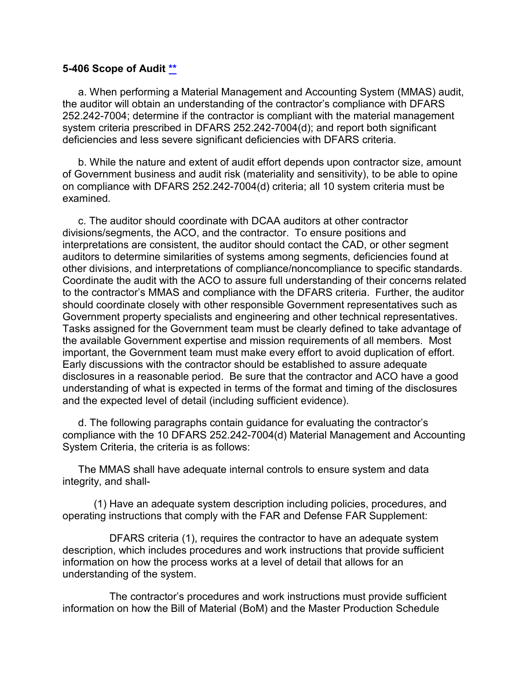#### <span id="page-35-0"></span>**5-406 Scope of Audit [\\*\\*](#page-2-4)**

a. When performing a Material Management and Accounting System (MMAS) audit, the auditor will obtain an understanding of the contractor's compliance with DFARS 252.242-7004; determine if the contractor is compliant with the material management system criteria prescribed in DFARS 252.242-7004(d); and report both significant deficiencies and less severe significant deficiencies with DFARS criteria.

b. While the nature and extent of audit effort depends upon contractor size, amount of Government business and audit risk (materiality and sensitivity), to be able to opine on compliance with DFARS 252.242-7004(d) criteria; all 10 system criteria must be examined.

c. The auditor should coordinate with DCAA auditors at other contractor divisions/segments, the ACO, and the contractor. To ensure positions and interpretations are consistent, the auditor should contact the CAD, or other segment auditors to determine similarities of systems among segments, deficiencies found at other divisions, and interpretations of compliance/noncompliance to specific standards. Coordinate the audit with the ACO to assure full understanding of their concerns related to the contractor's MMAS and compliance with the DFARS criteria. Further, the auditor should coordinate closely with other responsible Government representatives such as Government property specialists and engineering and other technical representatives. Tasks assigned for the Government team must be clearly defined to take advantage of the available Government expertise and mission requirements of all members. Most important, the Government team must make every effort to avoid duplication of effort. Early discussions with the contractor should be established to assure adequate disclosures in a reasonable period. Be sure that the contractor and ACO have a good understanding of what is expected in terms of the format and timing of the disclosures and the expected level of detail (including sufficient evidence).

d. The following paragraphs contain guidance for evaluating the contractor's compliance with the 10 DFARS 252.242-7004(d) Material Management and Accounting System Criteria, the criteria is as follows:

The MMAS shall have adequate internal controls to ensure system and data integrity, and shall-

(1) Have an adequate system description including policies, procedures, and operating instructions that comply with the FAR and Defense FAR Supplement:

DFARS criteria (1), requires the contractor to have an adequate system description, which includes procedures and work instructions that provide sufficient information on how the process works at a level of detail that allows for an understanding of the system.

The contractor's procedures and work instructions must provide sufficient information on how the Bill of Material (BoM) and the Master Production Schedule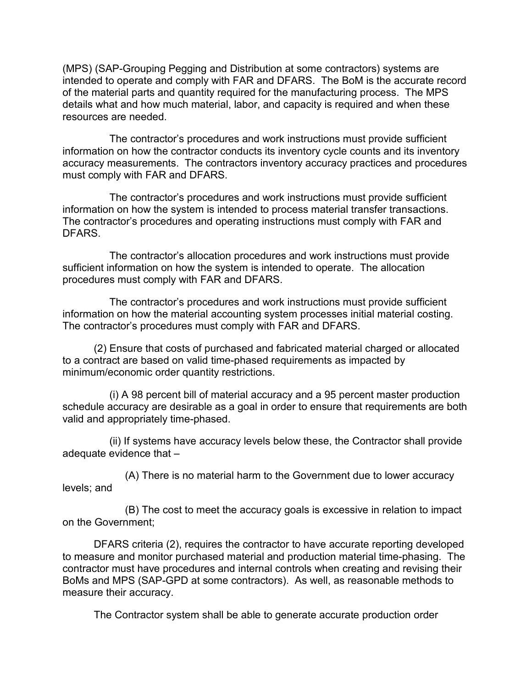(MPS) (SAP-Grouping Pegging and Distribution at some contractors) systems are intended to operate and comply with FAR and DFARS. The BoM is the accurate record of the material parts and quantity required for the manufacturing process. The MPS details what and how much material, labor, and capacity is required and when these resources are needed.

The contractor's procedures and work instructions must provide sufficient information on how the contractor conducts its inventory cycle counts and its inventory accuracy measurements. The contractors inventory accuracy practices and procedures must comply with FAR and DFARS.

The contractor's procedures and work instructions must provide sufficient information on how the system is intended to process material transfer transactions. The contractor's procedures and operating instructions must comply with FAR and DFARS.

The contractor's allocation procedures and work instructions must provide sufficient information on how the system is intended to operate. The allocation procedures must comply with FAR and DFARS.

The contractor's procedures and work instructions must provide sufficient information on how the material accounting system processes initial material costing. The contractor's procedures must comply with FAR and DFARS.

(2) Ensure that costs of purchased and fabricated material charged or allocated to a contract are based on valid time-phased requirements as impacted by minimum/economic order quantity restrictions.

(i) A 98 percent bill of material accuracy and a 95 percent master production schedule accuracy are desirable as a goal in order to ensure that requirements are both valid and appropriately time-phased.

(ii) If systems have accuracy levels below these, the Contractor shall provide adequate evidence that –

(A) There is no material harm to the Government due to lower accuracy levels; and

(B) The cost to meet the accuracy goals is excessive in relation to impact on the Government;

DFARS criteria (2), requires the contractor to have accurate reporting developed to measure and monitor purchased material and production material time-phasing. The contractor must have procedures and internal controls when creating and revising their BoMs and MPS (SAP-GPD at some contractors). As well, as reasonable methods to measure their accuracy.

The Contractor system shall be able to generate accurate production order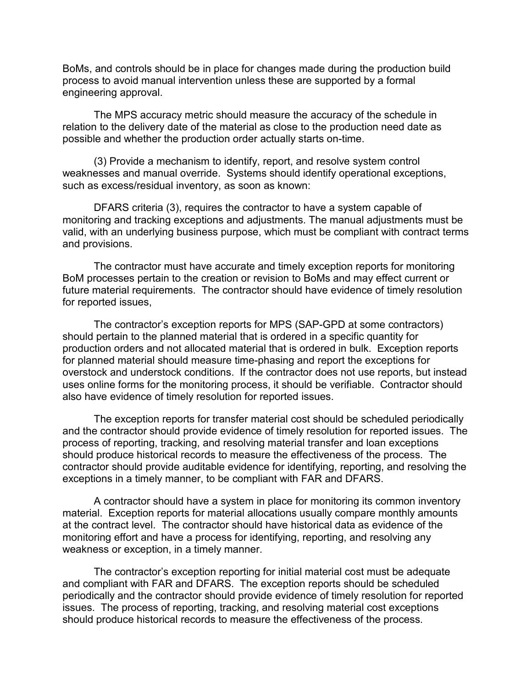BoMs, and controls should be in place for changes made during the production build process to avoid manual intervention unless these are supported by a formal engineering approval.

The MPS accuracy metric should measure the accuracy of the schedule in relation to the delivery date of the material as close to the production need date as possible and whether the production order actually starts on-time.

(3) Provide a mechanism to identify, report, and resolve system control weaknesses and manual override. Systems should identify operational exceptions, such as excess/residual inventory, as soon as known:

DFARS criteria (3), requires the contractor to have a system capable of monitoring and tracking exceptions and adjustments. The manual adjustments must be valid, with an underlying business purpose, which must be compliant with contract terms and provisions.

The contractor must have accurate and timely exception reports for monitoring BoM processes pertain to the creation or revision to BoMs and may effect current or future material requirements. The contractor should have evidence of timely resolution for reported issues,

The contractor's exception reports for MPS (SAP-GPD at some contractors) should pertain to the planned material that is ordered in a specific quantity for production orders and not allocated material that is ordered in bulk. Exception reports for planned material should measure time-phasing and report the exceptions for overstock and understock conditions. If the contractor does not use reports, but instead uses online forms for the monitoring process, it should be verifiable. Contractor should also have evidence of timely resolution for reported issues.

The exception reports for transfer material cost should be scheduled periodically and the contractor should provide evidence of timely resolution for reported issues. The process of reporting, tracking, and resolving material transfer and loan exceptions should produce historical records to measure the effectiveness of the process. The contractor should provide auditable evidence for identifying, reporting, and resolving the exceptions in a timely manner, to be compliant with FAR and DFARS.

A contractor should have a system in place for monitoring its common inventory material. Exception reports for material allocations usually compare monthly amounts at the contract level. The contractor should have historical data as evidence of the monitoring effort and have a process for identifying, reporting, and resolving any weakness or exception, in a timely manner.

The contractor's exception reporting for initial material cost must be adequate and compliant with FAR and DFARS. The exception reports should be scheduled periodically and the contractor should provide evidence of timely resolution for reported issues. The process of reporting, tracking, and resolving material cost exceptions should produce historical records to measure the effectiveness of the process.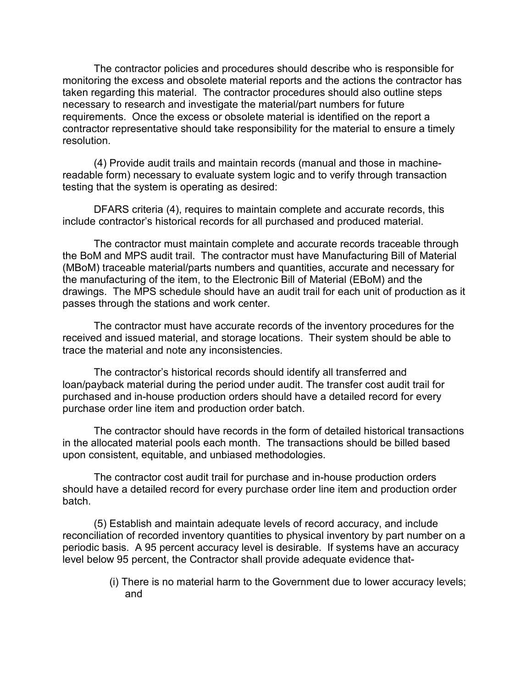The contractor policies and procedures should describe who is responsible for monitoring the excess and obsolete material reports and the actions the contractor has taken regarding this material. The contractor procedures should also outline steps necessary to research and investigate the material/part numbers for future requirements. Once the excess or obsolete material is identified on the report a contractor representative should take responsibility for the material to ensure a timely resolution.

(4) Provide audit trails and maintain records (manual and those in machinereadable form) necessary to evaluate system logic and to verify through transaction testing that the system is operating as desired:

DFARS criteria (4), requires to maintain complete and accurate records, this include contractor's historical records for all purchased and produced material.

The contractor must maintain complete and accurate records traceable through the BoM and MPS audit trail. The contractor must have Manufacturing Bill of Material (MBoM) traceable material/parts numbers and quantities, accurate and necessary for the manufacturing of the item, to the Electronic Bill of Material (EBoM) and the drawings. The MPS schedule should have an audit trail for each unit of production as it passes through the stations and work center.

The contractor must have accurate records of the inventory procedures for the received and issued material, and storage locations. Their system should be able to trace the material and note any inconsistencies.

The contractor's historical records should identify all transferred and loan/payback material during the period under audit. The transfer cost audit trail for purchased and in-house production orders should have a detailed record for every purchase order line item and production order batch.

The contractor should have records in the form of detailed historical transactions in the allocated material pools each month. The transactions should be billed based upon consistent, equitable, and unbiased methodologies.

The contractor cost audit trail for purchase and in-house production orders should have a detailed record for every purchase order line item and production order batch.

(5) Establish and maintain adequate levels of record accuracy, and include reconciliation of recorded inventory quantities to physical inventory by part number on a periodic basis. A 95 percent accuracy level is desirable. If systems have an accuracy level below 95 percent, the Contractor shall provide adequate evidence that-

> (i) There is no material harm to the Government due to lower accuracy levels; and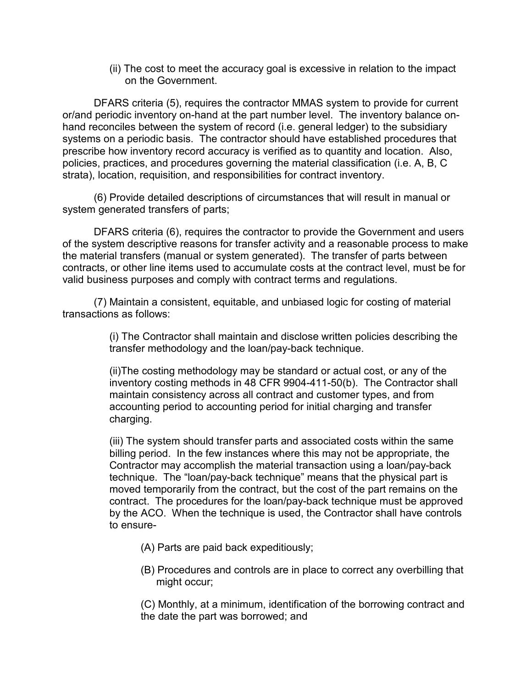(ii) The cost to meet the accuracy goal is excessive in relation to the impact on the Government.

DFARS criteria (5), requires the contractor MMAS system to provide for current or/and periodic inventory on-hand at the part number level. The inventory balance onhand reconciles between the system of record (i.e. general ledger) to the subsidiary systems on a periodic basis. The contractor should have established procedures that prescribe how inventory record accuracy is verified as to quantity and location. Also, policies, practices, and procedures governing the material classification (i.e. A, B, C strata), location, requisition, and responsibilities for contract inventory.

(6) Provide detailed descriptions of circumstances that will result in manual or system generated transfers of parts;

DFARS criteria (6), requires the contractor to provide the Government and users of the system descriptive reasons for transfer activity and a reasonable process to make the material transfers (manual or system generated). The transfer of parts between contracts, or other line items used to accumulate costs at the contract level, must be for valid business purposes and comply with contract terms and regulations.

(7) Maintain a consistent, equitable, and unbiased logic for costing of material transactions as follows:

> (i) The Contractor shall maintain and disclose written policies describing the transfer methodology and the loan/pay-back technique.

> (ii)The costing methodology may be standard or actual cost, or any of the inventory costing methods in 48 CFR 9904-411-50(b). The Contractor shall maintain consistency across all contract and customer types, and from accounting period to accounting period for initial charging and transfer charging.

(iii) The system should transfer parts and associated costs within the same billing period. In the few instances where this may not be appropriate, the Contractor may accomplish the material transaction using a loan/pay-back technique. The "loan/pay-back technique" means that the physical part is moved temporarily from the contract, but the cost of the part remains on the contract. The procedures for the loan/pay-back technique must be approved by the ACO. When the technique is used, the Contractor shall have controls to ensure-

- (A) Parts are paid back expeditiously;
- (B) Procedures and controls are in place to correct any overbilling that might occur;

(C) Monthly, at a minimum, identification of the borrowing contract and the date the part was borrowed; and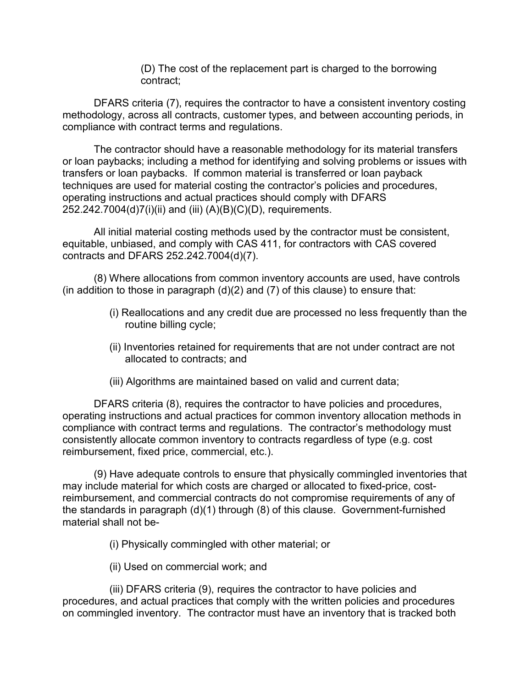(D) The cost of the replacement part is charged to the borrowing contract;

DFARS criteria (7), requires the contractor to have a consistent inventory costing methodology, across all contracts, customer types, and between accounting periods, in compliance with contract terms and regulations.

The contractor should have a reasonable methodology for its material transfers or loan paybacks; including a method for identifying and solving problems or issues with transfers or loan paybacks. If common material is transferred or loan payback techniques are used for material costing the contractor's policies and procedures, operating instructions and actual practices should comply with DFARS 252.242.7004(d)7(i)(ii) and (iii) (A)(B)(C)(D), requirements.

All initial material costing methods used by the contractor must be consistent, equitable, unbiased, and comply with CAS 411, for contractors with CAS covered contracts and DFARS 252.242.7004(d)(7).

(8) Where allocations from common inventory accounts are used, have controls (in addition to those in paragraph  $(d)(2)$  and  $(7)$  of this clause) to ensure that:

- (i) Reallocations and any credit due are processed no less frequently than the routine billing cycle;
- (ii) Inventories retained for requirements that are not under contract are not allocated to contracts; and
- (iii) Algorithms are maintained based on valid and current data;

DFARS criteria (8), requires the contractor to have policies and procedures, operating instructions and actual practices for common inventory allocation methods in compliance with contract terms and regulations. The contractor's methodology must consistently allocate common inventory to contracts regardless of type (e.g. cost reimbursement, fixed price, commercial, etc.).

(9) Have adequate controls to ensure that physically commingled inventories that may include material for which costs are charged or allocated to fixed-price, costreimbursement, and commercial contracts do not compromise requirements of any of the standards in paragraph (d)(1) through (8) of this clause. Government-furnished material shall not be-

- (i) Physically commingled with other material; or
- (ii) Used on commercial work; and

(iii) DFARS criteria (9), requires the contractor to have policies and procedures, and actual practices that comply with the written policies and procedures on commingled inventory. The contractor must have an inventory that is tracked both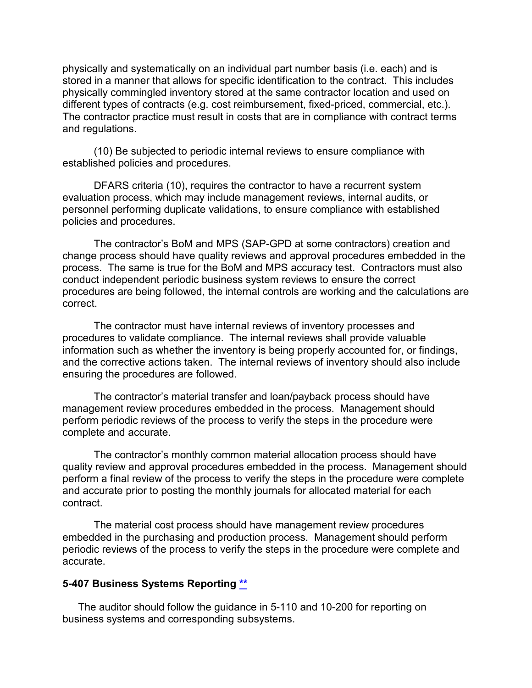physically and systematically on an individual part number basis (i.e. each) and is stored in a manner that allows for specific identification to the contract. This includes physically commingled inventory stored at the same contractor location and used on different types of contracts (e.g. cost reimbursement, fixed-priced, commercial, etc.). The contractor practice must result in costs that are in compliance with contract terms and regulations.

(10) Be subjected to periodic internal reviews to ensure compliance with established policies and procedures.

DFARS criteria (10), requires the contractor to have a recurrent system evaluation process, which may include management reviews, internal audits, or personnel performing duplicate validations, to ensure compliance with established policies and procedures.

The contractor's BoM and MPS (SAP-GPD at some contractors) creation and change process should have quality reviews and approval procedures embedded in the process. The same is true for the BoM and MPS accuracy test. Contractors must also conduct independent periodic business system reviews to ensure the correct procedures are being followed, the internal controls are working and the calculations are correct.

The contractor must have internal reviews of inventory processes and procedures to validate compliance. The internal reviews shall provide valuable information such as whether the inventory is being properly accounted for, or findings, and the corrective actions taken. The internal reviews of inventory should also include ensuring the procedures are followed.

The contractor's material transfer and loan/payback process should have management review procedures embedded in the process. Management should perform periodic reviews of the process to verify the steps in the procedure were complete and accurate.

The contractor's monthly common material allocation process should have quality review and approval procedures embedded in the process. Management should perform a final review of the process to verify the steps in the procedure were complete and accurate prior to posting the monthly journals for allocated material for each contract.

The material cost process should have management review procedures embedded in the purchasing and production process. Management should perform periodic reviews of the process to verify the steps in the procedure were complete and accurate.

#### <span id="page-41-0"></span>**5-407 Business Systems Reporting [\\*\\*](#page-2-5)**

The auditor should follow the guidance in 5-110 and 10-200 for reporting on business systems and corresponding subsystems.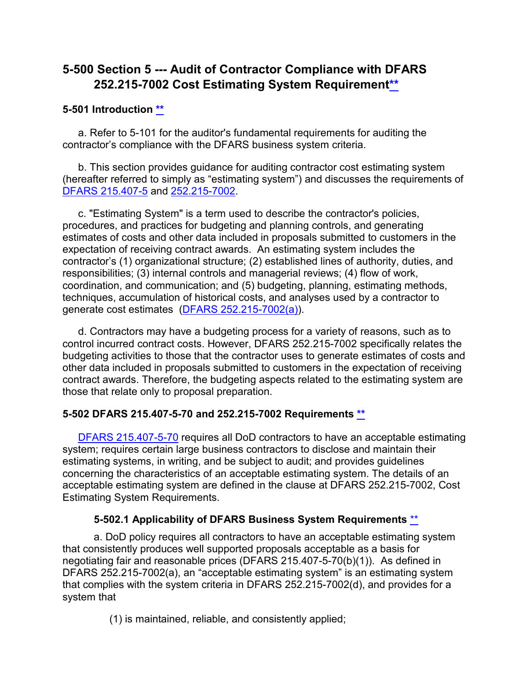# <span id="page-42-0"></span>**5-500 Section 5 --- Audit of Contractor Compliance with DFARS 252.215-7002 Cost Estimating System Requiremen[t\\*\\*](#page-2-6)**

# <span id="page-42-1"></span>**5-501 Introduction [\\*\\*](#page-2-7)**

a. Refer to 5-101 for the auditor's fundamental requirements for auditing the contractor's compliance with the DFARS business system criteria.

b. This section provides guidance for auditing contractor cost estimating system (hereafter referred to simply as "estimating system") and discusses the requirements of [DFARS 215.407-5](http://www.ecfr.gov/cgi-bin/text-idx?SID=7b7bca14688a03c62ec0b66ffca89c6f&mc=true&node=se48.3.215_1407_65_670&rgn=div8) and [252.215-7002.](http://www.ecfr.gov/cgi-bin/text-idx?SID=7b7bca14688a03c62ec0b66ffca89c6f&mc=true&node=se48.3.252_1215_67002&rgn=div8)

c. "Estimating System" is a term used to describe the contractor's policies, procedures, and practices for budgeting and planning controls, and generating estimates of costs and other data included in proposals submitted to customers in the expectation of receiving contract awards. An estimating system includes the contractor's (1) organizational structure; (2) established lines of authority, duties, and responsibilities; (3) internal controls and managerial reviews; (4) flow of work, coordination, and communication; and (5) budgeting, planning, estimating methods, techniques, accumulation of historical costs, and analyses used by a contractor to generate cost estimates [\(DFARS 252.215-7002\(](http://www.ecfr.gov/cgi-bin/text-idx?SID=7b7bca14688a03c62ec0b66ffca89c6f&mc=true&node=se48.3.252_1215_67002&rgn=div8)a)).

d. Contractors may have a budgeting process for a variety of reasons, such as to control incurred contract costs. However, DFARS 252.215-7002 specifically relates the budgeting activities to those that the contractor uses to generate estimates of costs and other data included in proposals submitted to customers in the expectation of receiving contract awards. Therefore, the budgeting aspects related to the estimating system are those that relate only to proposal preparation.

# **5-502 DFARS 215.407-5-70 and 252.215-7002 Requirements [\\*\\*](#page-2-8)**

[DFARS 215.407-5-70](http://www.ecfr.gov/cgi-bin/text-idx?SID=7b7bca14688a03c62ec0b66ffca89c6f&mc=true&node=se48.3.215_1407_65_670&rgn=div8) requires all DoD contractors to have an acceptable estimating system; requires certain large business contractors to disclose and maintain their estimating systems, in writing, and be subject to audit; and provides guidelines concerning the characteristics of an acceptable estimating system. The details of an acceptable estimating system are defined in the clause at DFARS 252.215-7002, Cost Estimating System Requirements.

# **5-502.1 Applicability of DFARS Business System Requirements** [\\*\\*](#page-2-9)

a. DoD policy requires all contractors to have an acceptable estimating system that consistently produces well supported proposals acceptable as a basis for negotiating fair and reasonable prices (DFARS 215.407-5-70(b)(1)). As defined in DFARS 252.215-7002(a), an "acceptable estimating system" is an estimating system that complies with the system criteria in DFARS 252.215-7002(d), and provides for a system that

(1) is maintained, reliable, and consistently applied;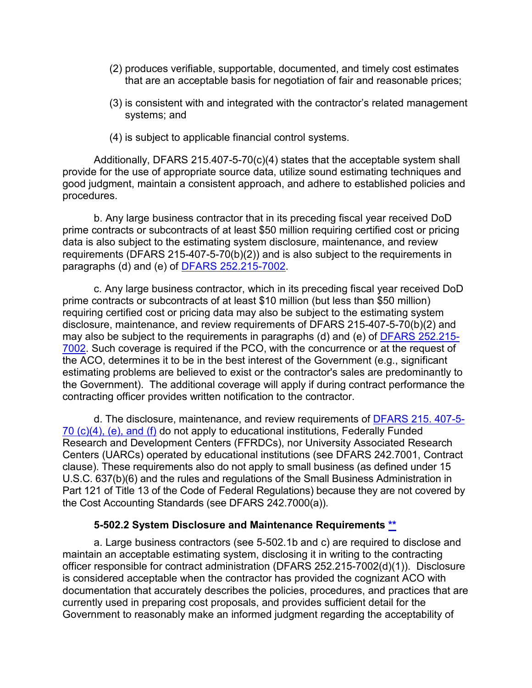- (2) produces verifiable, supportable, documented, and timely cost estimates that are an acceptable basis for negotiation of fair and reasonable prices;
- (3) is consistent with and integrated with the contractor's related management systems; and
- (4) is subject to applicable financial control systems.

Additionally, DFARS 215.407-5-70(c)(4) states that the acceptable system shall provide for the use of appropriate source data, utilize sound estimating techniques and good judgment, maintain a consistent approach, and adhere to established policies and procedures.

b. Any large business contractor that in its preceding fiscal year received DoD prime contracts or subcontracts of at least \$50 million requiring certified cost or pricing data is also subject to the estimating system disclosure, maintenance, and review requirements (DFARS 215-407-5-70(b)(2)) and is also subject to the requirements in paragraphs (d) and (e) of [DFARS 252.215-7002.](http://www.ecfr.gov/cgi-bin/text-idx?SID=7b7bca14688a03c62ec0b66ffca89c6f&mc=true&node=se48.3.252_1215_67002&rgn=div8)

c. Any large business contractor, which in its preceding fiscal year received DoD prime contracts or subcontracts of at least \$10 million (but less than \$50 million) requiring certified cost or pricing data may also be subject to the estimating system disclosure, maintenance, and review requirements of DFARS 215-407-5-70(b)(2) and may also be subject to the requirements in paragraphs (d) and (e) of **DFARS 252.215-**[7002.](http://www.ecfr.gov/cgi-bin/text-idx?SID=7b7bca14688a03c62ec0b66ffca89c6f&mc=true&node=se48.3.252_1215_67002&rgn=div8) Such coverage is required if the PCO, with the concurrence or at the request of the ACO, determines it to be in the best interest of the Government (e.g., significant estimating problems are believed to exist or the contractor's sales are predominantly to the Government). The additional coverage will apply if during contract performance the contracting officer provides written notification to the contractor.

d. The disclosure, maintenance, and review requirements of [DFARS 215. 407-5-](http://www.ecfr.gov/cgi-bin/text-idx?SID=7b7bca14688a03c62ec0b66ffca89c6f&mc=true&node=se48.3.215_1407_65_670&rgn=div8) [70 \(c\)\(4\), \(e\), and \(f\)](http://www.ecfr.gov/cgi-bin/text-idx?SID=7b7bca14688a03c62ec0b66ffca89c6f&mc=true&node=se48.3.215_1407_65_670&rgn=div8) do not apply to educational institutions, Federally Funded Research and Development Centers (FFRDCs), nor University Associated Research Centers (UARCs) operated by educational institutions (see DFARS 242.7001, Contract clause). These requirements also do not apply to small business (as defined under 15 U.S.C. 637(b)(6) and the rules and regulations of the Small Business Administration in Part 121 of Title 13 of the Code of Federal Regulations) because they are not covered by the Cost Accounting Standards (see DFARS 242.7000(a)).

#### **5-502.2 System Disclosure and Maintenance Requirements [\\*\\*](#page-2-10)**

a. Large business contractors (see 5-502.1b and c) are required to disclose and maintain an acceptable estimating system, disclosing it in writing to the contracting officer responsible for contract administration (DFARS 252.215-7002(d)(1)). Disclosure is considered acceptable when the contractor has provided the cognizant ACO with documentation that accurately describes the policies, procedures, and practices that are currently used in preparing cost proposals, and provides sufficient detail for the Government to reasonably make an informed judgment regarding the acceptability of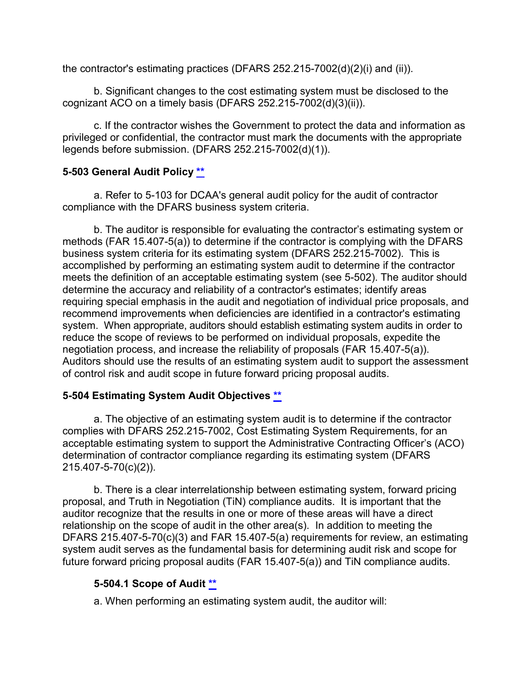the contractor's estimating practices (DFARS 252.215-7002(d)(2)(i) and (ii)).

b. Significant changes to the cost estimating system must be disclosed to the cognizant ACO on a timely basis (DFARS 252.215-7002(d)(3)(ii)).

c. If the contractor wishes the Government to protect the data and information as privileged or confidential, the contractor must mark the documents with the appropriate legends before submission. (DFARS 252.215-7002(d)(1)).

### **5-503 General Audit Policy [\\*\\*](#page-2-11)**

a. Refer to 5-103 for DCAA's general audit policy for the audit of contractor compliance with the DFARS business system criteria.

b. The auditor is responsible for evaluating the contractor's estimating system or methods (FAR 15.407-5(a)) to determine if the contractor is complying with the DFARS business system criteria for its estimating system (DFARS 252.215-7002). This is accomplished by performing an estimating system audit to determine if the contractor meets the definition of an acceptable estimating system (see 5-502). The auditor should determine the accuracy and reliability of a contractor's estimates; identify areas requiring special emphasis in the audit and negotiation of individual price proposals, and recommend improvements when deficiencies are identified in a contractor's estimating system. When appropriate, auditors should establish estimating system audits in order to reduce the scope of reviews to be performed on individual proposals, expedite the negotiation process, and increase the reliability of proposals (FAR 15.407-5(a)). Auditors should use the results of an estimating system audit to support the assessment of control risk and audit scope in future forward pricing proposal audits.

# **5-504 Estimating System Audit Objectives [\\*\\*](#page-2-12)**

a. The objective of an estimating system audit is to determine if the contractor complies with DFARS 252.215-7002, Cost Estimating System Requirements, for an acceptable estimating system to support the Administrative Contracting Officer's (ACO) determination of contractor compliance regarding its estimating system (DFARS 215.407-5-70(c)(2)).

b. There is a clear interrelationship between estimating system, forward pricing proposal, and Truth in Negotiation (TiN) compliance audits. It is important that the auditor recognize that the results in one or more of these areas will have a direct relationship on the scope of audit in the other area(s). In addition to meeting the DFARS 215.407-5-70(c)(3) and FAR 15.407-5(a) requirements for review, an estimating system audit serves as the fundamental basis for determining audit risk and scope for future forward pricing proposal audits (FAR 15.407-5(a)) and TiN compliance audits.

# **5-504.1 Scope of Audit [\\*\\*](#page-2-13)**

a. When performing an estimating system audit, the auditor will: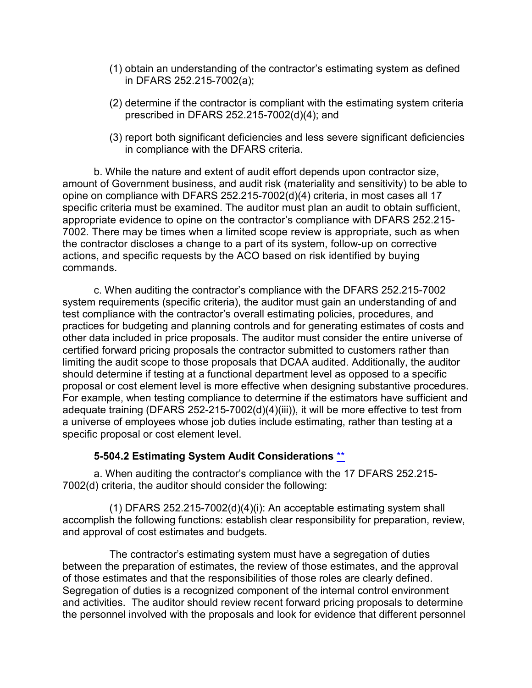- (1) obtain an understanding of the contractor's estimating system as defined in DFARS 252.215-7002(a);
- (2) determine if the contractor is compliant with the estimating system criteria prescribed in DFARS 252.215-7002(d)(4); and
- (3) report both significant deficiencies and less severe significant deficiencies in compliance with the DFARS criteria.

b. While the nature and extent of audit effort depends upon contractor size, amount of Government business, and audit risk (materiality and sensitivity) to be able to opine on compliance with DFARS 252.215-7002(d)(4) criteria, in most cases all 17 specific criteria must be examined. The auditor must plan an audit to obtain sufficient, appropriate evidence to opine on the contractor's compliance with DFARS 252.215- 7002. There may be times when a limited scope review is appropriate, such as when the contractor discloses a change to a part of its system, follow-up on corrective actions, and specific requests by the ACO based on risk identified by buying commands.

c. When auditing the contractor's compliance with the DFARS 252.215-7002 system requirements (specific criteria), the auditor must gain an understanding of and test compliance with the contractor's overall estimating policies, procedures, and practices for budgeting and planning controls and for generating estimates of costs and other data included in price proposals. The auditor must consider the entire universe of certified forward pricing proposals the contractor submitted to customers rather than limiting the audit scope to those proposals that DCAA audited. Additionally, the auditor should determine if testing at a functional department level as opposed to a specific proposal or cost element level is more effective when designing substantive procedures. For example, when testing compliance to determine if the estimators have sufficient and adequate training (DFARS 252-215-7002(d)(4)(iii)), it will be more effective to test from a universe of employees whose job duties include estimating, rather than testing at a specific proposal or cost element level.

# **5-504.2 Estimating System Audit Considerations** [\\*\\*](#page-2-14)

a. When auditing the contractor's compliance with the 17 DFARS 252.215- 7002(d) criteria, the auditor should consider the following:

(1) DFARS 252.215-7002(d)(4)(i): An acceptable estimating system shall accomplish the following functions: establish clear responsibility for preparation, review, and approval of cost estimates and budgets.

The contractor's estimating system must have a segregation of duties between the preparation of estimates, the review of those estimates, and the approval of those estimates and that the responsibilities of those roles are clearly defined. Segregation of duties is a recognized component of the internal control environment and activities. The auditor should review recent forward pricing proposals to determine the personnel involved with the proposals and look for evidence that different personnel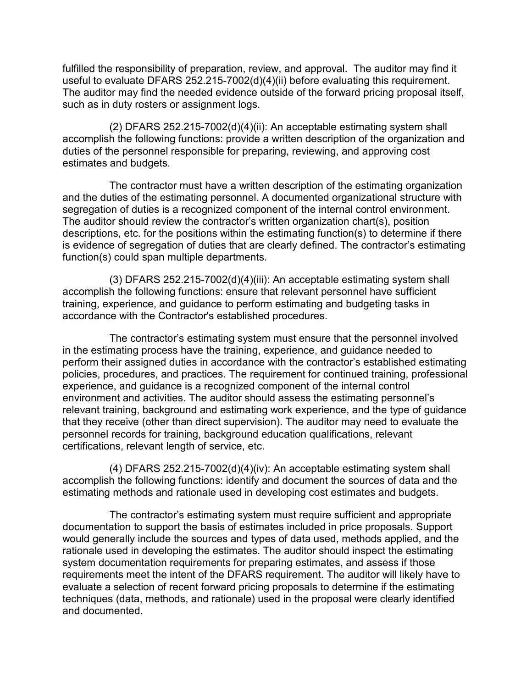fulfilled the responsibility of preparation, review, and approval. The auditor may find it useful to evaluate DFARS 252.215-7002(d)(4)(ii) before evaluating this requirement. The auditor may find the needed evidence outside of the forward pricing proposal itself, such as in duty rosters or assignment logs.

 $(2)$  DFARS 252.215-7002 $(d)(4)(ii)$ : An acceptable estimating system shall accomplish the following functions: provide a written description of the organization and duties of the personnel responsible for preparing, reviewing, and approving cost estimates and budgets.

The contractor must have a written description of the estimating organization and the duties of the estimating personnel. A documented organizational structure with segregation of duties is a recognized component of the internal control environment. The auditor should review the contractor's written organization chart(s), position descriptions, etc. for the positions within the estimating function(s) to determine if there is evidence of segregation of duties that are clearly defined. The contractor's estimating function(s) could span multiple departments.

 $(3)$  DFARS 252.215-7002 $(d)(4)(iii)$ : An acceptable estimating system shall accomplish the following functions: ensure that relevant personnel have sufficient training, experience, and guidance to perform estimating and budgeting tasks in accordance with the Contractor's established procedures.

The contractor's estimating system must ensure that the personnel involved in the estimating process have the training, experience, and guidance needed to perform their assigned duties in accordance with the contractor's established estimating policies, procedures, and practices. The requirement for continued training, professional experience, and guidance is a recognized component of the internal control environment and activities. The auditor should assess the estimating personnel's relevant training, background and estimating work experience, and the type of guidance that they receive (other than direct supervision). The auditor may need to evaluate the personnel records for training, background education qualifications, relevant certifications, relevant length of service, etc.

(4) DFARS 252.215-7002(d)(4)(iv): An acceptable estimating system shall accomplish the following functions: identify and document the sources of data and the estimating methods and rationale used in developing cost estimates and budgets.

The contractor's estimating system must require sufficient and appropriate documentation to support the basis of estimates included in price proposals. Support would generally include the sources and types of data used, methods applied, and the rationale used in developing the estimates. The auditor should inspect the estimating system documentation requirements for preparing estimates, and assess if those requirements meet the intent of the DFARS requirement. The auditor will likely have to evaluate a selection of recent forward pricing proposals to determine if the estimating techniques (data, methods, and rationale) used in the proposal were clearly identified and documented.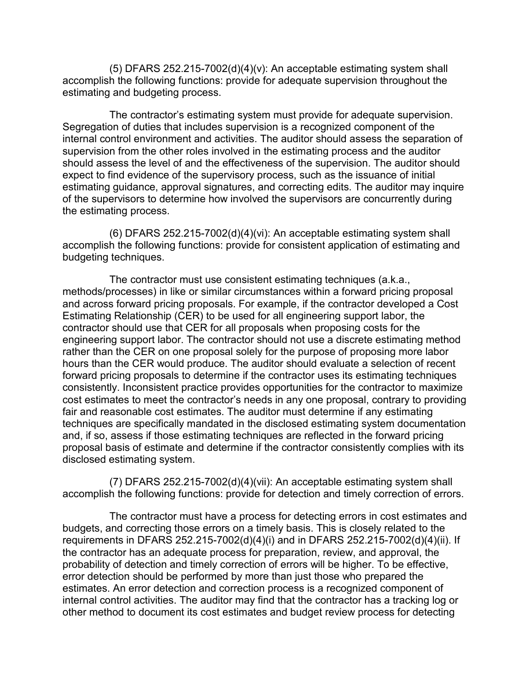(5) DFARS 252.215-7002(d)(4)(v): An acceptable estimating system shall accomplish the following functions: provide for adequate supervision throughout the estimating and budgeting process.

The contractor's estimating system must provide for adequate supervision. Segregation of duties that includes supervision is a recognized component of the internal control environment and activities. The auditor should assess the separation of supervision from the other roles involved in the estimating process and the auditor should assess the level of and the effectiveness of the supervision. The auditor should expect to find evidence of the supervisory process, such as the issuance of initial estimating guidance, approval signatures, and correcting edits. The auditor may inquire of the supervisors to determine how involved the supervisors are concurrently during the estimating process.

(6) DFARS 252.215-7002(d)(4)(vi): An acceptable estimating system shall accomplish the following functions: provide for consistent application of estimating and budgeting techniques.

The contractor must use consistent estimating techniques (a.k.a., methods/processes) in like or similar circumstances within a forward pricing proposal and across forward pricing proposals. For example, if the contractor developed a Cost Estimating Relationship (CER) to be used for all engineering support labor, the contractor should use that CER for all proposals when proposing costs for the engineering support labor. The contractor should not use a discrete estimating method rather than the CER on one proposal solely for the purpose of proposing more labor hours than the CER would produce. The auditor should evaluate a selection of recent forward pricing proposals to determine if the contractor uses its estimating techniques consistently. Inconsistent practice provides opportunities for the contractor to maximize cost estimates to meet the contractor's needs in any one proposal, contrary to providing fair and reasonable cost estimates. The auditor must determine if any estimating techniques are specifically mandated in the disclosed estimating system documentation and, if so, assess if those estimating techniques are reflected in the forward pricing proposal basis of estimate and determine if the contractor consistently complies with its disclosed estimating system.

(7) DFARS 252.215-7002(d)(4)(vii): An acceptable estimating system shall accomplish the following functions: provide for detection and timely correction of errors.

The contractor must have a process for detecting errors in cost estimates and budgets, and correcting those errors on a timely basis. This is closely related to the requirements in DFARS 252.215-7002(d)(4)(i) and in DFARS 252.215-7002(d)(4)(ii). If the contractor has an adequate process for preparation, review, and approval, the probability of detection and timely correction of errors will be higher. To be effective, error detection should be performed by more than just those who prepared the estimates. An error detection and correction process is a recognized component of internal control activities. The auditor may find that the contractor has a tracking log or other method to document its cost estimates and budget review process for detecting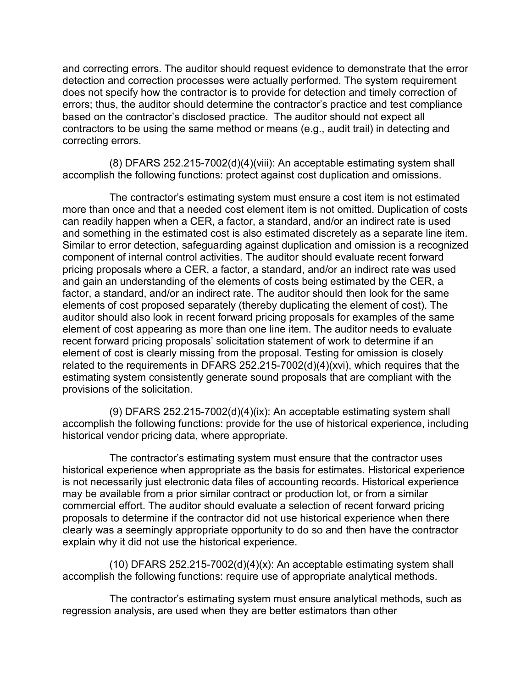and correcting errors. The auditor should request evidence to demonstrate that the error detection and correction processes were actually performed. The system requirement does not specify how the contractor is to provide for detection and timely correction of errors; thus, the auditor should determine the contractor's practice and test compliance based on the contractor's disclosed practice. The auditor should not expect all contractors to be using the same method or means (e.g., audit trail) in detecting and correcting errors.

(8) DFARS 252.215-7002(d)(4)(viii): An acceptable estimating system shall accomplish the following functions: protect against cost duplication and omissions.

The contractor's estimating system must ensure a cost item is not estimated more than once and that a needed cost element item is not omitted. Duplication of costs can readily happen when a CER, a factor, a standard, and/or an indirect rate is used and something in the estimated cost is also estimated discretely as a separate line item. Similar to error detection, safeguarding against duplication and omission is a recognized component of internal control activities. The auditor should evaluate recent forward pricing proposals where a CER, a factor, a standard, and/or an indirect rate was used and gain an understanding of the elements of costs being estimated by the CER, a factor, a standard, and/or an indirect rate. The auditor should then look for the same elements of cost proposed separately (thereby duplicating the element of cost). The auditor should also look in recent forward pricing proposals for examples of the same element of cost appearing as more than one line item. The auditor needs to evaluate recent forward pricing proposals' solicitation statement of work to determine if an element of cost is clearly missing from the proposal. Testing for omission is closely related to the requirements in DFARS 252.215-7002(d)(4)(xvi), which requires that the estimating system consistently generate sound proposals that are compliant with the provisions of the solicitation.

(9) DFARS 252.215-7002(d)(4)(ix): An acceptable estimating system shall accomplish the following functions: provide for the use of historical experience, including historical vendor pricing data, where appropriate.

The contractor's estimating system must ensure that the contractor uses historical experience when appropriate as the basis for estimates. Historical experience is not necessarily just electronic data files of accounting records. Historical experience may be available from a prior similar contract or production lot, or from a similar commercial effort. The auditor should evaluate a selection of recent forward pricing proposals to determine if the contractor did not use historical experience when there clearly was a seemingly appropriate opportunity to do so and then have the contractor explain why it did not use the historical experience.

 $(10)$  DFARS 252.215-7002 $(d)(4)(x)$ : An acceptable estimating system shall accomplish the following functions: require use of appropriate analytical methods.

The contractor's estimating system must ensure analytical methods, such as regression analysis, are used when they are better estimators than other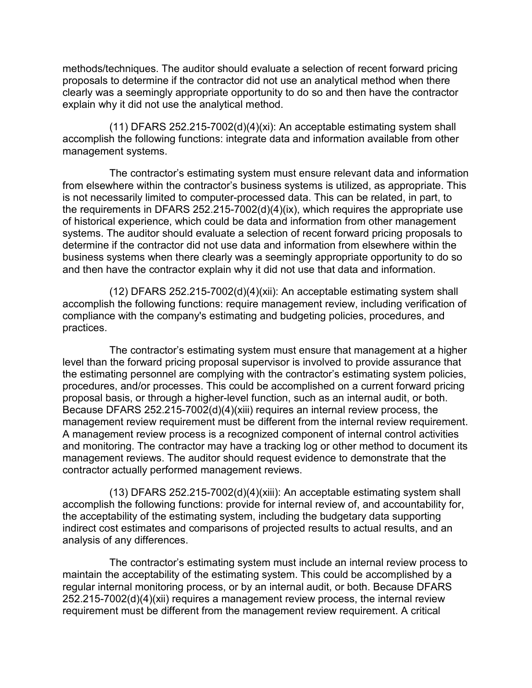methods/techniques. The auditor should evaluate a selection of recent forward pricing proposals to determine if the contractor did not use an analytical method when there clearly was a seemingly appropriate opportunity to do so and then have the contractor explain why it did not use the analytical method.

(11) DFARS 252.215-7002(d)(4)(xi): An acceptable estimating system shall accomplish the following functions: integrate data and information available from other management systems.

The contractor's estimating system must ensure relevant data and information from elsewhere within the contractor's business systems is utilized, as appropriate. This is not necessarily limited to computer-processed data. This can be related, in part, to the requirements in DFARS 252.215-7002(d)(4)(ix), which requires the appropriate use of historical experience, which could be data and information from other management systems. The auditor should evaluate a selection of recent forward pricing proposals to determine if the contractor did not use data and information from elsewhere within the business systems when there clearly was a seemingly appropriate opportunity to do so and then have the contractor explain why it did not use that data and information.

(12) DFARS 252.215-7002(d)(4)(xii): An acceptable estimating system shall accomplish the following functions: require management review, including verification of compliance with the company's estimating and budgeting policies, procedures, and practices.

The contractor's estimating system must ensure that management at a higher level than the forward pricing proposal supervisor is involved to provide assurance that the estimating personnel are complying with the contractor's estimating system policies, procedures, and/or processes. This could be accomplished on a current forward pricing proposal basis, or through a higher-level function, such as an internal audit, or both. Because DFARS 252.215-7002(d)(4)(xiii) requires an internal review process, the management review requirement must be different from the internal review requirement. A management review process is a recognized component of internal control activities and monitoring. The contractor may have a tracking log or other method to document its management reviews. The auditor should request evidence to demonstrate that the contractor actually performed management reviews.

(13) DFARS 252.215-7002(d)(4)(xiii): An acceptable estimating system shall accomplish the following functions: provide for internal review of, and accountability for, the acceptability of the estimating system, including the budgetary data supporting indirect cost estimates and comparisons of projected results to actual results, and an analysis of any differences.

The contractor's estimating system must include an internal review process to maintain the acceptability of the estimating system. This could be accomplished by a regular internal monitoring process, or by an internal audit, or both. Because DFARS 252.215-7002(d)(4)(xii) requires a management review process, the internal review requirement must be different from the management review requirement. A critical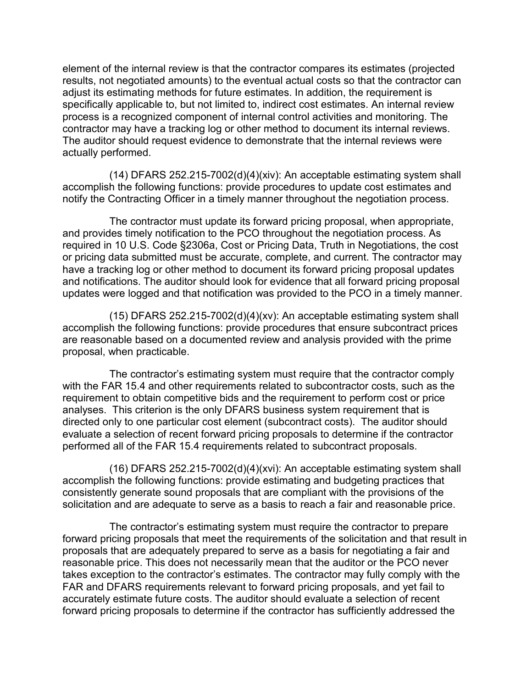element of the internal review is that the contractor compares its estimates (projected results, not negotiated amounts) to the eventual actual costs so that the contractor can adjust its estimating methods for future estimates. In addition, the requirement is specifically applicable to, but not limited to, indirect cost estimates. An internal review process is a recognized component of internal control activities and monitoring. The contractor may have a tracking log or other method to document its internal reviews. The auditor should request evidence to demonstrate that the internal reviews were actually performed.

(14) DFARS 252.215-7002(d)(4)(xiv): An acceptable estimating system shall accomplish the following functions: provide procedures to update cost estimates and notify the Contracting Officer in a timely manner throughout the negotiation process.

The contractor must update its forward pricing proposal, when appropriate, and provides timely notification to the PCO throughout the negotiation process. As required in 10 U.S. Code §2306a, Cost or Pricing Data, Truth in Negotiations, the cost or pricing data submitted must be accurate, complete, and current. The contractor may have a tracking log or other method to document its forward pricing proposal updates and notifications. The auditor should look for evidence that all forward pricing proposal updates were logged and that notification was provided to the PCO in a timely manner.

(15) DFARS 252.215-7002(d)(4)(xv): An acceptable estimating system shall accomplish the following functions: provide procedures that ensure subcontract prices are reasonable based on a documented review and analysis provided with the prime proposal, when practicable.

The contractor's estimating system must require that the contractor comply with the FAR 15.4 and other requirements related to subcontractor costs, such as the requirement to obtain competitive bids and the requirement to perform cost or price analyses. This criterion is the only DFARS business system requirement that is directed only to one particular cost element (subcontract costs). The auditor should evaluate a selection of recent forward pricing proposals to determine if the contractor performed all of the FAR 15.4 requirements related to subcontract proposals.

(16) DFARS 252.215-7002(d)(4)(xvi): An acceptable estimating system shall accomplish the following functions: provide estimating and budgeting practices that consistently generate sound proposals that are compliant with the provisions of the solicitation and are adequate to serve as a basis to reach a fair and reasonable price.

The contractor's estimating system must require the contractor to prepare forward pricing proposals that meet the requirements of the solicitation and that result in proposals that are adequately prepared to serve as a basis for negotiating a fair and reasonable price. This does not necessarily mean that the auditor or the PCO never takes exception to the contractor's estimates. The contractor may fully comply with the FAR and DFARS requirements relevant to forward pricing proposals, and yet fail to accurately estimate future costs. The auditor should evaluate a selection of recent forward pricing proposals to determine if the contractor has sufficiently addressed the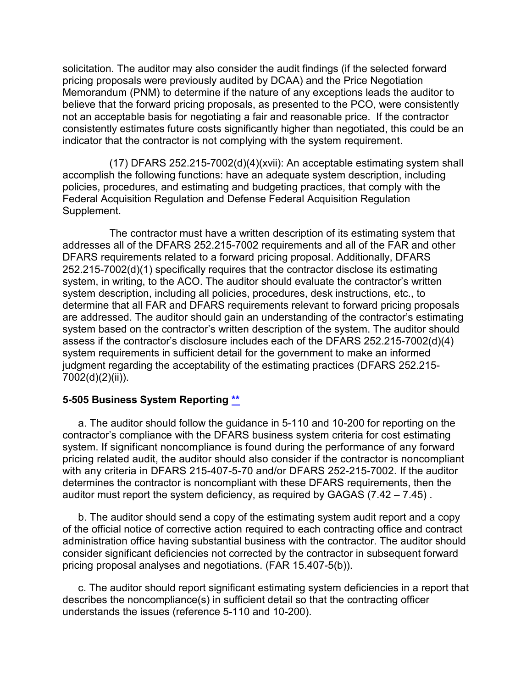solicitation. The auditor may also consider the audit findings (if the selected forward pricing proposals were previously audited by DCAA) and the Price Negotiation Memorandum (PNM) to determine if the nature of any exceptions leads the auditor to believe that the forward pricing proposals, as presented to the PCO, were consistently not an acceptable basis for negotiating a fair and reasonable price. If the contractor consistently estimates future costs significantly higher than negotiated, this could be an indicator that the contractor is not complying with the system requirement.

(17) DFARS 252.215-7002(d)(4)(xvii): An acceptable estimating system shall accomplish the following functions: have an adequate system description, including policies, procedures, and estimating and budgeting practices, that comply with the Federal Acquisition Regulation and Defense Federal Acquisition Regulation Supplement.

The contractor must have a written description of its estimating system that addresses all of the DFARS 252.215-7002 requirements and all of the FAR and other DFARS requirements related to a forward pricing proposal. Additionally, DFARS 252.215-7002(d)(1) specifically requires that the contractor disclose its estimating system, in writing, to the ACO. The auditor should evaluate the contractor's written system description, including all policies, procedures, desk instructions, etc., to determine that all FAR and DFARS requirements relevant to forward pricing proposals are addressed. The auditor should gain an understanding of the contractor's estimating system based on the contractor's written description of the system. The auditor should assess if the contractor's disclosure includes each of the DFARS 252.215-7002(d)(4) system requirements in sufficient detail for the government to make an informed judgment regarding the acceptability of the estimating practices (DFARS 252.215- 7002(d)(2)(ii)).

#### **5-505 Business System Reporting [\\*\\*](#page-2-15)**

a. The auditor should follow the guidance in 5-110 and 10-200 for reporting on the contractor's compliance with the DFARS business system criteria for cost estimating system. If significant noncompliance is found during the performance of any forward pricing related audit, the auditor should also consider if the contractor is noncompliant with any criteria in DFARS 215-407-5-70 and/or DFARS 252-215-7002. If the auditor determines the contractor is noncompliant with these DFARS requirements, then the auditor must report the system deficiency, as required by GAGAS (7.42 – 7.45) .

b. The auditor should send a copy of the estimating system audit report and a copy of the official notice of corrective action required to each contracting office and contract administration office having substantial business with the contractor. The auditor should consider significant deficiencies not corrected by the contractor in subsequent forward pricing proposal analyses and negotiations. (FAR 15.407-5(b)).

c. The auditor should report significant estimating system deficiencies in a report that describes the noncompliance(s) in sufficient detail so that the contracting officer understands the issues (reference 5-110 and 10-200).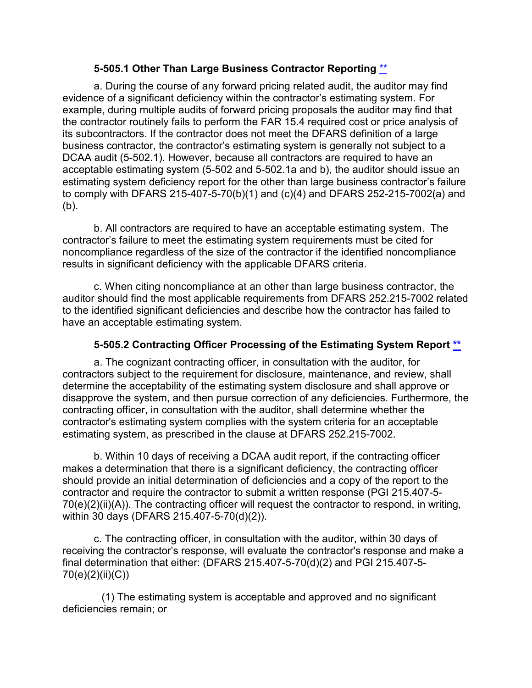#### **5-505.1 Other Than Large Business Contractor Reporting** [\\*\\*](#page-2-16)

a. During the course of any forward pricing related audit, the auditor may find evidence of a significant deficiency within the contractor's estimating system. For example, during multiple audits of forward pricing proposals the auditor may find that the contractor routinely fails to perform the FAR 15.4 required cost or price analysis of its subcontractors. If the contractor does not meet the DFARS definition of a large business contractor, the contractor's estimating system is generally not subject to a DCAA audit (5-502.1). However, because all contractors are required to have an acceptable estimating system (5-502 and 5-502.1a and b), the auditor should issue an estimating system deficiency report for the other than large business contractor's failure to comply with DFARS 215-407-5-70(b)(1) and (c)(4) and DFARS 252-215-7002(a) and (b).

b. All contractors are required to have an acceptable estimating system. The contractor's failure to meet the estimating system requirements must be cited for noncompliance regardless of the size of the contractor if the identified noncompliance results in significant deficiency with the applicable DFARS criteria.

c. When citing noncompliance at an other than large business contractor, the auditor should find the most applicable requirements from DFARS 252.215-7002 related to the identified significant deficiencies and describe how the contractor has failed to have an acceptable estimating system.

# **5-505.2 Contracting Officer Processing of the Estimating System Report [\\*\\*](#page-2-17)**

<span id="page-52-0"></span>a. The cognizant contracting officer, in consultation with the auditor, for contractors subject to the requirement for disclosure, maintenance, and review, shall determine the acceptability of the estimating system disclosure and shall approve or disapprove the system, and then pursue correction of any deficiencies. Furthermore, the contracting officer, in consultation with the auditor, shall determine whether the contractor's estimating system complies with the system criteria for an acceptable estimating system, as prescribed in the clause at DFARS 252.215-7002.

b. Within 10 days of receiving a DCAA audit report, if the contracting officer makes a determination that there is a significant deficiency, the contracting officer should provide an initial determination of deficiencies and a copy of the report to the contractor and require the contractor to submit a written response (PGI 215.407-5-  $70(e)(2)(ii)(A)$ ). The contracting officer will request the contractor to respond, in writing, within 30 days (DFARS 215.407-5-70(d)(2)).

c. The contracting officer, in consultation with the auditor, within 30 days of receiving the contractor's response, will evaluate the contractor's response and make a final determination that either: (DFARS 215.407-5-70(d)(2) and PGI 215.407-5- 70(e)(2)(ii)(C))

(1) The estimating system is acceptable and approved and no significant deficiencies remain; or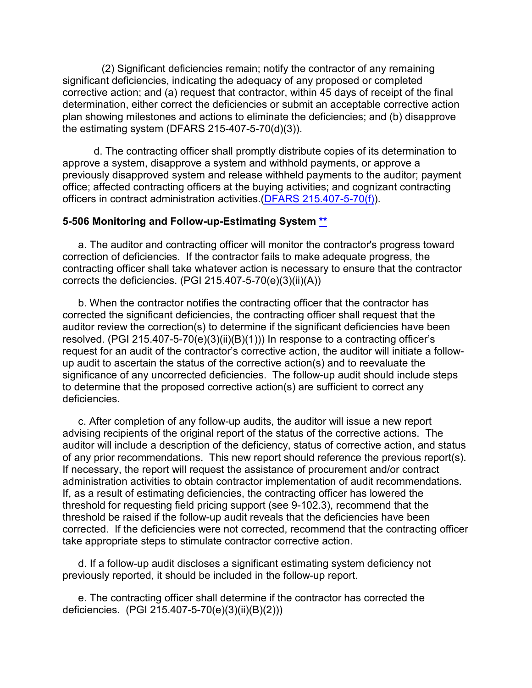(2) Significant deficiencies remain; notify the contractor of any remaining significant deficiencies, indicating the adequacy of any proposed or completed corrective action; and (a) request that contractor, within 45 days of receipt of the final determination, either correct the deficiencies or submit an acceptable corrective action plan showing milestones and actions to eliminate the deficiencies; and (b) disapprove the estimating system (DFARS 215-407-5-70(d)(3)).

d. The contracting officer shall promptly distribute copies of its determination to approve a system, disapprove a system and withhold payments, or approve a previously disapproved system and release withheld payments to the auditor; payment office; affected contracting officers at the buying activities; and cognizant contracting officers in contract administration activities.[\(DFARS 215.407-5-70\(f\)\)](http://www.ecfr.gov/cgi-bin/text-idx?SID=7b7bca14688a03c62ec0b66ffca89c6f&mc=true&node=se48.3.215_1407_65_670&rgn=div8).

#### **5-506 Monitoring and Follow-up-Estimating System [\\*\\*](#page-2-18)**

a. The auditor and contracting officer will monitor the contractor's progress toward correction of deficiencies. If the contractor fails to make adequate progress, the contracting officer shall take whatever action is necessary to ensure that the contractor corrects the deficiencies. (PGI 215.407-5-70(e)(3)(ii)(A))

b. When the contractor notifies the contracting officer that the contractor has corrected the significant deficiencies, the contracting officer shall request that the auditor review the correction(s) to determine if the significant deficiencies have been resolved. (PGI 215.407-5-70(e)(3)(ii)(B)(1))) In response to a contracting officer's request for an audit of the contractor's corrective action, the auditor will initiate a followup audit to ascertain the status of the corrective action(s) and to reevaluate the significance of any uncorrected deficiencies. The follow-up audit should include steps to determine that the proposed corrective action(s) are sufficient to correct any deficiencies.

c. After completion of any follow-up audits, the auditor will issue a new report advising recipients of the original report of the status of the corrective actions. The auditor will include a description of the deficiency, status of corrective action, and status of any prior recommendations. This new report should reference the previous report(s). If necessary, the report will request the assistance of procurement and/or contract administration activities to obtain contractor implementation of audit recommendations. If, as a result of estimating deficiencies, the contracting officer has lowered the threshold for requesting field pricing support (see 9-102.3), recommend that the threshold be raised if the follow-up audit reveals that the deficiencies have been corrected. If the deficiencies were not corrected, recommend that the contracting officer take appropriate steps to stimulate contractor corrective action.

d. If a follow-up audit discloses a significant estimating system deficiency not previously reported, it should be included in the follow-up report.

e. The contracting officer shall determine if the contractor has corrected the deficiencies. (PGI 215.407-5-70(e)(3)(ii)(B)(2)))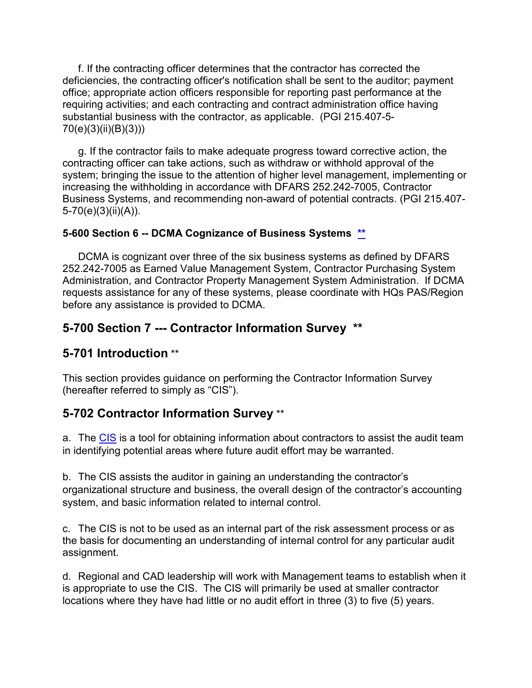f. If the contracting officer determines that the contractor has corrected the deficiencies, the contracting officer's notification shall be sent to the auditor; payment office; appropriate action officers responsible for reporting past performance at the requiring activities; and each contracting and contract administration office having substantial business with the contractor, as applicable. (PGI 215.407-5- 70(e)(3)(ii)(B)(3)))

g. If the contractor fails to make adequate progress toward corrective action, the contracting officer can take actions, such as withdraw or withhold approval of the system; bringing the issue to the attention of higher level management, implementing or increasing the withholding in accordance with DFARS 252.242-7005, Contractor Business Systems, and recommending non-award of potential contracts. (PGI 215.407- 5-70(e)(3)(ii)(A)).

# **5-600 Section 6 -- DCMA Cognizance of Business Systems [\\*\\*](#page-2-19)**

DCMA is cognizant over three of the six business systems as defined by DFARS 252.242-7005 as Earned Value Management System, Contractor Purchasing System Administration, and Contractor Property Management System Administration. If DCMA requests assistance for any of these systems, please coordinate with HQs PAS/Region before any assistance is provided to DCMA.

# **5-700 Section 7 --- Contractor Information Survey \*\***

# **5-701 Introduction** \*\*

This section provides guidance on performing the Contractor Information Survey (hereafter referred to simply as "CIS").

# **5-702 Contractor Information Survey** \*\*

a. The [CIS](https://intranet.dcaa.mil/Lists/Audit_Programs__Other_Miscellaneous_Documents/DispForm.aspx?ID=290&Source=https%3A%2F%2Fintranet%2Edcaa%2Emil%2FSitePages%2FAPRSOAG%5F2%2Easpx&ContentTypeId=0x010081CD2F96F4602146955C3A214C000D5C) is a tool for obtaining information about contractors to assist the audit team in identifying potential areas where future audit effort may be warranted.

b. The CIS assists the auditor in gaining an understanding the contractor's organizational structure and business, the overall design of the contractor's accounting system, and basic information related to internal control.

c. The CIS is not to be used as an internal part of the risk assessment process or as the basis for documenting an understanding of internal control for any particular audit assignment.

d. Regional and CAD leadership will work with Management teams to establish when it is appropriate to use the CIS. The CIS will primarily be used at smaller contractor locations where they have had little or no audit effort in three (3) to five (5) years.